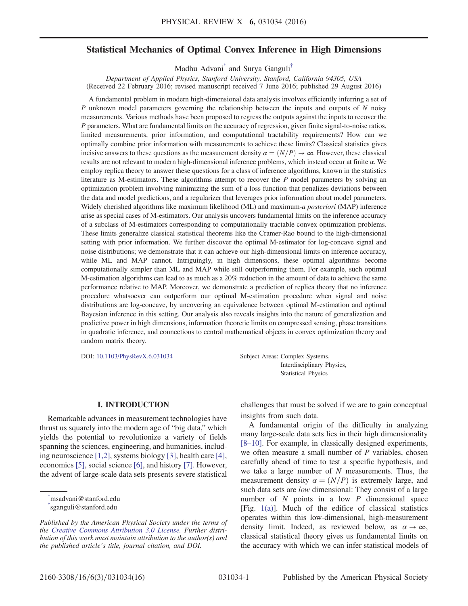# Statistical Mechanics of Optimal Convex Inference in High Dimensions

Madhu Advan[i\\*](#page-0-0) and Surya Ganguli[†](#page-0-1)

<span id="page-0-2"></span>Department of Applied Physics, Stanford University, Stanford, California 94305, USA (Received 22 February 2016; revised manuscript received 7 June 2016; published 29 August 2016)

A fundamental problem in modern high-dimensional data analysis involves efficiently inferring a set of  $P$  unknown model parameters governing the relationship between the inputs and outputs of  $N$  noisy measurements. Various methods have been proposed to regress the outputs against the inputs to recover the P parameters. What are fundamental limits on the accuracy of regression, given finite signal-to-noise ratios, limited measurements, prior information, and computational tractability requirements? How can we optimally combine prior information with measurements to achieve these limits? Classical statistics gives incisive answers to these questions as the measurement density  $\alpha = (N/P) \rightarrow \infty$ . However, these classical results are not relevant to modern high-dimensional inference problems, which instead occur at finite α. We employ replica theory to answer these questions for a class of inference algorithms, known in the statistics literature as M-estimators. These algorithms attempt to recover the  $P$  model parameters by solving an optimization problem involving minimizing the sum of a loss function that penalizes deviations between the data and model predictions, and a regularizer that leverages prior information about model parameters. Widely cherished algorithms like maximum likelihood (ML) and maximum-a posteriori (MAP) inference arise as special cases of M-estimators. Our analysis uncovers fundamental limits on the inference accuracy of a subclass of M-estimators corresponding to computationally tractable convex optimization problems. These limits generalize classical statistical theorems like the Cramer-Rao bound to the high-dimensional setting with prior information. We further discover the optimal M-estimator for log-concave signal and noise distributions; we demonstrate that it can achieve our high-dimensional limits on inference accuracy, while ML and MAP cannot. Intriguingly, in high dimensions, these optimal algorithms become computationally simpler than ML and MAP while still outperforming them. For example, such optimal M-estimation algorithms can lead to as much as a 20% reduction in the amount of data to achieve the same performance relative to MAP. Moreover, we demonstrate a prediction of replica theory that no inference procedure whatsoever can outperform our optimal M-estimation procedure when signal and noise distributions are log-concave, by uncovering an equivalence between optimal M-estimation and optimal Bayesian inference in this setting. Our analysis also reveals insights into the nature of generalization and predictive power in high dimensions, information theoretic limits on compressed sensing, phase transitions in quadratic inference, and connections to central mathematical objects in convex optimization theory and random matrix theory.

DOI: [10.1103/PhysRevX.6.031034](http://dx.doi.org/10.1103/PhysRevX.6.031034) Subject Areas: Complex Systems,

Interdisciplinary Physics, Statistical Physics

## I. INTRODUCTION

Remarkable advances in measurement technologies have thrust us squarely into the modern age of "big data," which yields the potential to revolutionize a variety of fields spanning the sciences, engineering, and humanities, including neuroscience [\[1,2\],](#page-13-0) systems biology [\[3\]](#page-14-0), health care [\[4\]](#page-14-1), economics [\[5\],](#page-14-2) social science [\[6\],](#page-14-3) and history [\[7\]](#page-14-4). However, the advent of large-scale data sets presents severe statistical

<span id="page-0-0"></span>[\\*](#page-0-2) msadvani@stanford.edu

<span id="page-0-1"></span>[†](#page-0-2) sganguli@stanford.edu

challenges that must be solved if we are to gain conceptual insights from such data.

A fundamental origin of the difficulty in analyzing many large-scale data sets lies in their high dimensionality [8–[10\].](#page-14-5) For example, in classically designed experiments, we often measure a small number of  $P$  variables, chosen carefully ahead of time to test a specific hypothesis, and we take a large number of  $N$  measurements. Thus, the measurement density  $\alpha = (N/P)$  is extremely large, and such data sets are *low* dimensional: They consist of a large number of  $N$  points in a low  $P$  dimensional space [Fig. [1\(a\)\]](#page-1-0). Much of the edifice of classical statistics operates within this low-dimensional, high-measurement density limit. Indeed, as reviewed below, as  $\alpha \to \infty$ , classical statistical theory gives us fundamental limits on the accuracy with which we can infer statistical models of

Published by the American Physical Society under the terms of the [Creative Commons Attribution 3.0 License.](http://creativecommons.org/licenses/by/3.0/) Further distribution of this work must maintain attribution to the author(s) and the published article's title, journal citation, and DOI.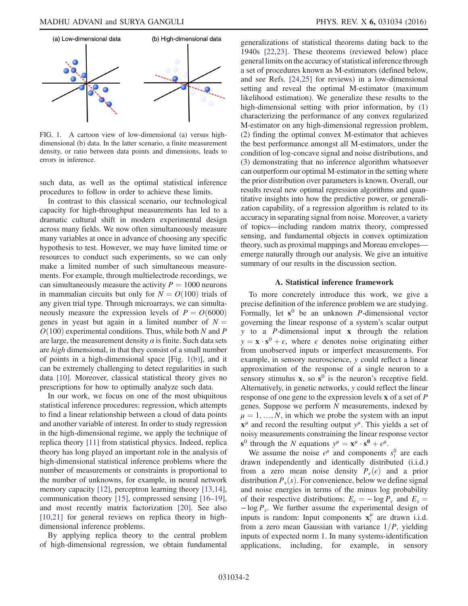<span id="page-1-0"></span>

FIG. 1. A cartoon view of low-dimensional (a) versus highdimensional (b) data. In the latter scenario, a finite measurement density, or ratio between data points and dimensions, leads to errors in inference.

such data, as well as the optimal statistical inference procedures to follow in order to achieve these limits.

In contrast to this classical scenario, our technological capacity for high-throughput measurements has led to a dramatic cultural shift in modern experimental design across many fields. We now often simultaneously measure many variables at once in advance of choosing any specific hypothesis to test. However, we may have limited time or resources to conduct such experiments, so we can only make a limited number of such simultaneous measurements. For example, through multielectrode recordings, we can simultaneously measure the activity  $P = 1000$  neurons in mammalian circuits but only for  $N = O(100)$  trials of any given trial type. Through microarrays, we can simultaneously measure the expression levels of  $P = O(6000)$ genes in yeast but again in a limited number of  $N =$  $O(100)$  experimental conditions. Thus, while both N and P are large, the measurement density  $\alpha$  is finite. Such data sets are high dimensional, in that they consist of a small number of points in a high-dimensional space [Fig. [1\(b\)\]](#page-1-0), and it can be extremely challenging to detect regularities in such data [\[10\]](#page-14-6). Moreover, classical statistical theory gives no prescriptions for how to optimally analyze such data.

In our work, we focus on one of the most ubiquitous statistical inference procedures: regression, which attempts to find a linear relationship between a cloud of data points and another variable of interest. In order to study regression in the high-dimensional regime, we apply the technique of replica theory [\[11\]](#page-14-7) from statistical physics. Indeed, replica theory has long played an important role in the analysis of high-dimensional statistical inference problems where the number of measurements or constraints is proportional to the number of unknowns, for example, in neural network memory capacity [\[12\]](#page-14-8), perceptron learning theory [\[13,14\]](#page-14-9), communication theory [\[15\],](#page-14-10) compressed sensing [\[16](#page-14-11)–19], and most recently matrix factorization [\[20\].](#page-14-12) See also [\[10,21\]](#page-14-6) for general reviews on replica theory in highdimensional inference problems.

By applying replica theory to the central problem of high-dimensional regression, we obtain fundamental generalizations of statistical theorems dating back to the 1940s [\[22,23\].](#page-14-13) These theorems (reviewed below) place general limits on the accuracy of statistical inference through a set of procedures known as M-estimators (defined below, and see Refs. [\[24,25\]](#page-14-14) for reviews) in a low-dimensional setting and reveal the optimal M-estimator (maximum likelihood estimation). We generalize these results to the high-dimensional setting with prior information, by (1) characterizing the performance of any convex regularized M-estimator on any high-dimensional regression problem, (2) finding the optimal convex M-estimator that achieves the best performance amongst all M-estimators, under the condition of log-concave signal and noise distributions, and (3) demonstrating that no inference algorithm whatsoever can outperform our optimal M-estimator in the setting where the prior distribution over parameters is known. Overall, our results reveal new optimal regression algorithms and quantitative insights into how the predictive power, or generalization capability, of a regression algorithm is related to its accuracy in separating signal from noise. Moreover, a variety of topics—including random matrix theory, compressed sensing, and fundamental objects in convex optimization theory, such as proximal mappings and Moreau envelopes emerge naturally through our analysis. We give an intuitive summary of our results in the discussion section.

#### A. Statistical inference framework

To more concretely introduce this work, we give a precise definition of the inference problem we are studying. Formally, let  $s^0$  be an unknown *P*-dimensional vector governing the linear response of a system's scalar output y to a P-dimensional input x through the relation  $y = \mathbf{x} \cdot \mathbf{s}^0 + \epsilon$ , where  $\epsilon$  denotes noise originating either from unobserved inputs or imperfect measurements. For example, in sensory neuroscience, y could reflect a linear approximation of the response of a single neuron to a sensory stimulus  $x$ , so  $s^0$  is the neuron's receptive field. Alternatively, in genetic networks, y could reflect the linear response of one gene to the expression levels x of a set of P genes. Suppose we perform N measurements, indexed by  $\mu = 1, ..., N$ , in which we probe the system with an input  $x^{\mu}$  and record the resulting output  $y^{\mu}$ . This yields a set of noisy measurements constraining the linear response vector  $s^0$  through the N equations  $y^{\mu} = x^{\mu} \cdot s^0 + \epsilon^{\mu}$ .

We assume the noise  $\epsilon^{\mu}$  and components  $s_i^0$  are each drawn independently and identically distributed (i.i.d.) from a zero mean noise density  $P_{\epsilon}(\epsilon)$  and a prior distribution  $P_s(s)$ . For convenience, below we define signal and noise energies in terms of the minus log probability of their respective distributions:  $E_{\epsilon} = -\log P_{\epsilon}$  and  $E_{s} =$  $-\log P_s$ . We further assume the experimental design of inputs is random: Input components  $\mathbf{x}_i^{\mu}$  are drawn i.i.d. from a zero mean Gaussian with variance  $1/P$ , yielding inputs of expected norm 1. In many systems-identification applications, including, for example, in sensory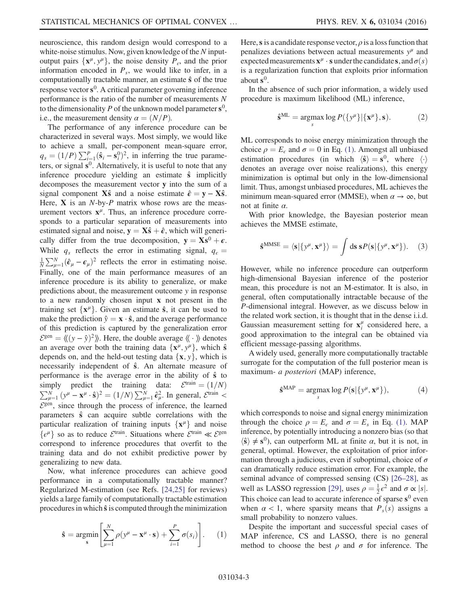neuroscience, this random design would correspond to a white-noise stimulus. Now, given knowledge of the  $N$  inputoutput pairs  $\{x^{\mu}, y^{\mu}\}\$ , the noise density  $P_{\epsilon}$ , and the prior information encoded in  $P_s$ , we would like to infer, in a computationally tractable manner, an estimate  $\hat{s}$  of the true response vector  $s^0$ . A critical parameter governing inference performance is the ratio of the number of measurements N to the dimensionality P of the unknown model parameter  $s^0$ , i.e., the measurement density  $\alpha = (N/P)$ .

The performance of any inference procedure can be characterized in several ways. Most simply, we would like to achieve a small, per-component mean-square error,  $q_s = (1/P) \sum_{i=1}^P (\hat{\mathbf{s}}_i - \mathbf{s}_i^0)^2$ , in inferring the true parameters, or signal  $s^0$ . Alternatively, it is useful to note that any inference procedure yielding an estimate  $\hat{s}$  implicitly decomposes the measurement vector y into the sum of a signal component Xŝ and a noise estimate  $\hat{\epsilon} = y - X\hat{s}$ . Here,  $X$  is an  $N$ -by- $P$  matrix whose rows are the measurement vectors  $\mathbf{x}^{\mu}$ . Thus, an inference procedure corresponds to a particular separation of measurements into estimated signal and noise,  $y = X\hat{s} + \hat{\epsilon}$ , which will generically differ from the true decomposition,  $y = Xs^0 + \epsilon$ . While  $q_s$  reflects the error in estimating signal,  $q_e =$  $\frac{1}{N} \sum_{\mu=1}^{N} (\hat{\epsilon}_{\mu} - \epsilon_{\mu})^2$  reflects the error in estimating noise. Finally, one of the main performance measures of an inference procedure is its ability to generalize, or make predictions about, the measurement outcome y in response to a new randomly chosen input x not present in the training set  $\{x^{\mu}\}\$ . Given an estimate  $\hat{s}$ , it can be used to make the prediction  $\hat{y} = \mathbf{x} \cdot \hat{\mathbf{s}}$ , and the average performance of this prediction is captured by the generalization error  $\mathcal{E}^{\text{gen}} = \langle ((y - \hat{y})^2) \rangle$ . Here, the double average  $\langle \langle \cdot \rangle \rangle$  denotes an average over both the training data  $\{x^{\mu}, y^{\mu}\}\$ , which  $\hat{s}$ depends on, and the held-out testing data  $\{x, y\}$ , which is necessarily independent of  $\hat{s}$ . An alternate measure of performance is the average error in the ability of  $\hat{s}$  to simply predict the training data:  $\mathcal E$  $\sum$ mply predict the training data:  $\mathcal{E}^{\text{train}} = (1/N)$ <br>  $N_{\mu=1}^{N} (y^{\mu} - \mathbf{x}^{\mu} \cdot \hat{\mathbf{s}})^{2} = (1/N) \sum_{\mu=1}^{N} \hat{\epsilon}_{\mu}^{2}$ . In general,  $\mathcal{E}^{\text{train}}$  <  $\mathcal{E}^{\text{gen}}$ , since through the process of inference, the learned parameters  $\hat{s}$  can acquire subtle correlations with the particular realization of training inputs  $\{x^{\mu}\}\$ and noise  $\{\epsilon^{\mu}\}\$  so as to reduce  $\mathcal{E}^{\text{train}}\$ . Situations where  $\mathcal{E}^{\text{train}}\ll \mathcal{E}^{\text{gen}}$ correspond to inference procedures that overfit to the training data and do not exhibit predictive power by generalizing to new data.

<span id="page-2-0"></span>Now, what inference procedures can achieve good performance in a computationally tractable manner? Regularized M-estimation (see Refs. [\[24,25\]](#page-14-14) for reviews) yields a large family of computationally tractable estimation procedures in which  $\hat{s}$  is computed through the minimization

$$
\hat{\mathbf{s}} = \underset{\mathbf{s}}{\operatorname{argmin}} \left[ \sum_{\mu=1}^{N} \rho(y^{\mu} - \mathbf{x}^{\mu} \cdot \mathbf{s}) + \sum_{i=1}^{P} \sigma(s_i) \right]. \tag{1}
$$

Here, s is a candidate response vector,  $\rho$  is a loss function that penalizes deviations between actual measurements  $y^{\mu}$  and expected measurements  $\mathbf{x}^{\mu} \cdot \mathbf{s}$  under the candidate s, and  $\sigma(s)$ is a regularization function that exploits prior information about  $s^0$ .

In the absence of such prior information, a widely used procedure is maximum likelihood (ML) inference,

$$
\hat{\mathbf{s}}^{\mathrm{ML}} = \underset{s}{\operatorname{argmax}} \log P(\{y^{\mu}\}|\{\mathbf{x}^{\mu}\}, \mathbf{s}). \tag{2}
$$

ML corresponds to noise energy minimization through the choice  $\rho = E_{\epsilon}$  and  $\sigma = 0$  in Eq. [\(1\)](#page-2-0). Amongst all unbiased estimation procedures (in which  $\langle \hat{\mathbf{s}} \rangle = \mathbf{s}^0$ , where  $\langle \cdot \rangle$ denotes an average over noise realizations), this energy minimization is optimal but only in the low-dimensional limit. Thus, amongst unbiased procedures, ML achieves the minimum mean-squared error (MMSE), when  $\alpha \to \infty$ , but not at finite  $\alpha$ .

<span id="page-2-1"></span>With prior knowledge, the Bayesian posterior mean achieves the MMSE estimate,

$$
\hat{\mathbf{s}}^{\text{MMSE}} = \langle \mathbf{s} | \{ y^{\mu}, \mathbf{x}^{\mu} \} \rangle = \int \mathrm{d}\mathbf{s} \, \mathbf{s} P(\mathbf{s} | \{ y^{\mu}, \mathbf{x}^{\mu} \}). \tag{3}
$$

However, while no inference procedure can outperform high-dimensional Bayesian inference of the posterior mean, this procedure is not an M-estimator. It is also, in general, often computationally intractable because of the P-dimensional integral. However, as we discuss below in the related work section, it is thought that in the dense i.i.d. Gaussian measurement setting for  $x_i^{\mu}$  considered here, a good approximation to the integral can be obtained via efficient message-passing algorithms.

A widely used, generally more computationally tractable surrogate for the computation of the full posterior mean is maximum- a posteriori (MAP) inference,

$$
\hat{\mathbf{s}}^{\text{MAP}} = \underset{s}{\operatorname{argmax}} \log P(\mathbf{s}|\{\mathbf{y}^{\mu}, \mathbf{x}^{\mu}\}), \tag{4}
$$

which corresponds to noise and signal energy minimization through the choice  $\rho = E_{\epsilon}$  and  $\sigma = E_{s}$  in Eq. [\(1\).](#page-2-0) MAP inference, by potentially introducing a nonzero bias (so that  $\langle \hat{\mathbf{s}} \rangle \neq \mathbf{s}^0$ , can outperform ML at finite  $\alpha$ , but it is not, in general, optimal. However, the exploitation of prior information through a judicious, even if suboptimal, choice of  $\sigma$ can dramatically reduce estimation error. For example, the seminal advance of compressed sensing (CS) [\[26](#page-14-15)–28], as well as LASSO regression [\[29\],](#page-14-16) uses  $\rho = \frac{1}{2} \epsilon^2$  and  $\sigma \propto |s|$ .<br>This choice can load to acquire informate of sparse  $s^0$  ayon This choice can lead to accurate inference of sparse  $s^0$  even when  $\alpha$  < 1, where sparsity means that  $P_s(s)$  assigns a small probability to nonzero values.

Despite the important and successful special cases of MAP inference, CS and LASSO, there is no general method to choose the best  $\rho$  and  $\sigma$  for inference. The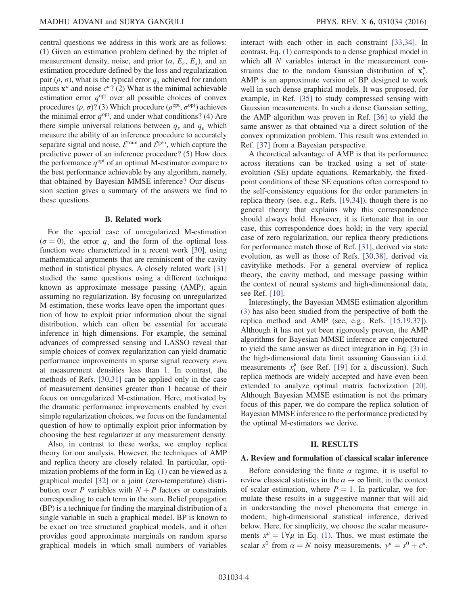central questions we address in this work are as follows: (1) Given an estimation problem defined by the triplet of measurement density, noise, and prior  $(\alpha, E_{\epsilon}, E_{s})$ , and an estimation procedure defined by the loss and regularization pair  $(\rho, \sigma)$ , what is the typical error  $q_s$  achieved for random inputs  $\mathbf{x}^{\mu}$  and noise  $\epsilon^{\mu}$ ? (2) What is the minimal achievable estimation error  $q^{\text{opt}}$  over all possible choices of convex procedures ( $\rho$ ,  $\sigma$ )? (3) Which procedure ( $\rho^{\text{opt}}$ ,  $\sigma^{\text{opt}}$ ) achieves the minimal error  $q^{\text{opt}}$ , and under what conditions? (4) Are there simple universal relations between  $q_s$  and  $q_e$  which measure the ability of an inference procedure to accurately separate signal and noise,  $\mathcal{E}^{\text{train}}$  and  $\mathcal{E}^{\text{gen}}$ , which capture the predictive power of an inference procedure? (5) How does the performance  $q^{\text{opt}}$  of an optimal M-estimator compare to the best performance achievable by any algorithm, namely, that obtained by Bayesian MMSE inference? Our discussion section gives a summary of the answers we find to these questions.

#### B. Related work

For the special case of unregularized M-estimation  $(\sigma = 0)$ , the error  $q_s$  and the form of the optimal loss function were characterized in a recent work [\[30\],](#page-14-17) using mathematical arguments that are reminiscent of the cavity method in statistical physics. A closely related work [\[31\]](#page-14-18) studied the same questions using a different technique known as approximate message passing (AMP), again assuming no regularization. By focusing on unregularized M-estimation, these works leave open the important question of how to exploit prior information about the signal distribution, which can often be essential for accurate inference in high dimensions. For example, the seminal advances of compressed sensing and LASSO reveal that simple choices of convex regularization can yield dramatic performance improvements in sparse signal recovery even at measurement densities less than 1. In contrast, the methods of Refs. [\[30,31\]](#page-14-17) can be applied only in the case of measurement densities greater than 1 because of their focus on unregularized M-estimation. Here, motivated by the dramatic performance improvements enabled by even simple regularization choices, we focus on the fundamental question of how to optimally exploit prior information by choosing the best regularizer at any measurement density.

Also, in contrast to these works, we employ replica theory for our analysis. However, the techniques of AMP and replica theory are closely related. In particular, optimization problems of the form in Eq.  $(1)$  can be viewed as a graphical model [\[32\]](#page-14-19) or a joint (zero-temperature) distribution over P variables with  $N + P$  factors or constraints corresponding to each term in the sum. Belief propagation (BP) is a technique for finding the marginal distribution of a single variable in such a graphical model. BP is known to be exact on tree structured graphical models, and it often provides good approximate marginals on random sparse graphical models in which small numbers of variables interact with each other in each constraint [\[33,34\]](#page-14-20). In contrast, Eq. [\(1\)](#page-2-0) corresponds to a dense graphical model in which all N variables interact in the measurement constraints due to the random Gaussian distribution of  $\mathbf{x}_i^{\mu}$ . AMP is an approximate version of BP designed to work well in such dense graphical models. It was proposed, for example, in Ref. [\[35\]](#page-14-21) to study compressed sensing with Gaussian measurements. In such a dense Gaussian setting, the AMP algorithm was proven in Ref. [\[36\]](#page-14-22) to yield the same answer as that obtained via a direct solution of the convex optimization problem. This result was extended in Ref. [\[37\]](#page-14-23) from a Bayesian perspective.

A theoretical advantage of AMP is that its performance across iterations can be tracked using a set of stateevolution (SE) update equations. Remarkably, the fixedpoint conditions of these SE equations often correspond to the self-consistency equations for the order parameters in replica theory (see, e.g., Refs. [\[19,34\]](#page-14-24)), though there is no general theory that explains why this correspondence should always hold. However, it is fortunate that in our case, this correspondence does hold; in the very special case of zero regularization, our replica theory predictions for performance match those of Ref. [\[31\],](#page-14-18) derived via state evolution, as well as those of Refs. [\[30,38\]](#page-14-17), derived via cavitylike methods. For a general overview of replica theory, the cavity method, and message passing within the context of neural systems and high-dimensional data, see Ref. [\[10\]](#page-14-6).

Interestingly, the Bayesian MMSE estimation algorithm [\(3\)](#page-2-1) has also been studied from the perspective of both the replica method and AMP (see, e.g., Refs. [\[15,19,37\]](#page-14-10)). Although it has not yet been rigorously proven, the AMP algorithms for Bayesian MMSE inference are conjectured to yield the same answer as direct integration in Eq. [\(3\)](#page-2-1) in the high-dimensional data limit assuming Gaussian i.i.d. measurements  $x_i^{\mu}$  (see Ref. [\[19\]](#page-14-24) for a discussion). Such replica methods are widely accepted and have even been extended to analyze optimal matrix factorization [\[20\]](#page-14-12). Although Bayesian MMSE estimation is not the primary focus of this paper, we do compare the replica solution of Bayesian MMSE inference to the performance predicted by the optimal M-estimators we derive.

#### II. RESULTS

#### <span id="page-3-0"></span>A. Review and formulation of classical scalar inference

Before considering the finite  $\alpha$  regime, it is useful to review classical statistics in the  $\alpha \rightarrow \infty$  limit, in the context of scalar estimation, where  $P = 1$ . In particular, we formulate these results in a suggestive manner that will aid in understanding the novel phenomena that emerge in modern, high-dimensional statistical inference, derived below. Here, for simplicity, we choose the scalar measurements  $x^{\mu} = 1 \forall \mu$  in Eq. [\(1\).](#page-2-0) Thus, we must estimate the scalar s<sup>0</sup> from  $\alpha = N$  noisy measurements,  $y^{\mu} = s^0 + \epsilon^{\mu}$ .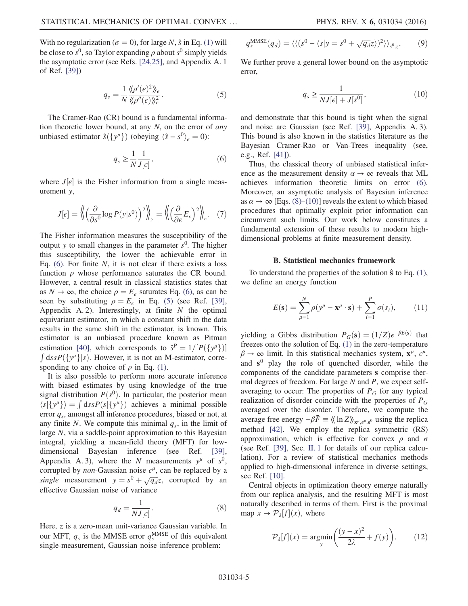<span id="page-4-1"></span>With no regularization ( $\sigma = 0$ ), for large N,  $\hat{s}$  in Eq. [\(1\)](#page-2-0) will be close to  $s^0$ , so Taylor expanding  $\rho$  about  $s^0$  simply yields the asymptotic error (see Refs. [\[24,25\]](#page-14-14), and Appendix A. 1 of Ref. [\[39\]\)](#page-15-0)

$$
q_s = \frac{1}{N} \frac{\langle \langle \rho'(\epsilon)^2 \rangle \rangle_{\epsilon}}{\langle \langle \rho''(\epsilon) \rangle \rangle_{\epsilon}^2}.
$$
 (5)

<span id="page-4-0"></span>The Cramer-Rao (CR) bound is a fundamental information theoretic lower bound, at any  $N$ , on the error of *any* unbiased estimator  $\hat{s}(\lbrace y^{\mu} \rbrace)$  (obeying  $\langle \hat{s} - s^0 \rangle_{\epsilon} = 0$ ):

$$
q_s \ge \frac{1}{N} \frac{1}{J[\epsilon]},\tag{6}
$$

where  $J[\epsilon]$  is the Fisher information from a single meas-<br>urement v urement y,

$$
J[\epsilon] = \left\langle \left( \frac{\partial}{\partial s^0} \log P(y|s^0) \right)^2 \right\rangle_{\mathcal{Y}} = \left\langle \left( \frac{\partial}{\partial \epsilon} E_{\epsilon} \right)^2 \right\rangle_{\epsilon}.
$$
 (7)

The Fisher information measures the susceptibility of the output y to small changes in the parameter  $s^0$ . The higher this susceptibility, the lower the achievable error in Eq.  $(6)$ . For finite N, it is not clear if there exists a loss function  $\rho$  whose performance saturates the CR bound. However, a central result in classical statistics states that as  $N \to \infty$ , the choice  $\rho = E_{\epsilon}$  saturates Eq. [\(6\)](#page-4-0), as can be seen by substituting  $\rho = E_{\epsilon}$  in Eq. [\(5\)](#page-4-1) (see Ref. [\[39\]](#page-15-0), Appendix A. 2). Interestingly, at finite  $N$  the optimal equivariant estimator, in which a constant shift in the data results in the same shift in the estimator, is known. This estimator is an unbiased procedure known as Pitman estimation [\[40\]](#page-15-1), which corresponds to  $\hat{s}^P = 1/[P(\{y^\mu\})]$  $\int ds s P(\lbrace y^{\mu}\rbrace | s)$ . However, it is not an M-estimator, corresponding to any choice of  $\rho$  in Eq. [\(1\).](#page-2-0)

It is also possible to perform more accurate inference with biased estimates by using knowledge of the true signal distribution  $P(s^0)$ . In particular, the posterior mean  $\langle s | \{ y^{\mu} \} \rangle = \int ds s P(s) \{ y^{\mu} \}$  achieves a minimal possible<br>error a amongst all inference procedures biased or not at error  $q_s$ , amongst all inference procedures, biased or not, at any finite N. We compute this minimal  $q_s$ , in the limit of large N, via a saddle-point approximation to this Bayesian integral, yielding a mean-field theory (MFT) for lowdimensional Bayesian inference (see Ref. [\[39\]](#page-15-0), Appendix A. 3), where the N measurements  $y^{\mu}$  of  $s^{0}$ , corrupted by *non*-Gaussian noise  $\epsilon^{\mu}$ , can be replaced by a single measurement  $y = s^0 + \sqrt{q_d}z$ , corrupted by an effective Gaussian poise of variance effective Gaussian noise of variance

$$
q_d = \frac{1}{NJ[\epsilon]}.
$$
\n(8)

<span id="page-4-5"></span><span id="page-4-2"></span>Here, z is a zero-mean unit-variance Gaussian variable. In our MFT,  $q_s$  is the MMSE error  $q_s^{\text{MMSE}}$  of this equivalent single-measurement, Gaussian noise inference problem:

$$
q_s^{\text{MMSE}}(q_d) = \langle \langle (s^0 - \langle s|y = s^0 + \sqrt{q_d}z \rangle)^2 \rangle \rangle_{s^0, z}.
$$
 (9)

<span id="page-4-3"></span>We further prove a general lower bound on the asymptotic error,

$$
q_s \ge \frac{1}{NJ[\epsilon] + J[s^0]},\tag{10}
$$

and demonstrate that this bound is tight when the signal and noise are Gaussian (see Ref. [\[39\]](#page-15-0), Appendix A. 3). This bound is also known in the statistics literature as the Bayesian Cramer-Rao or Van-Trees inequality (see, e.g., Ref. [\[41\]\)](#page-15-2).

Thus, the classical theory of unbiased statistical inference as the measurement density  $\alpha \rightarrow \infty$  reveals that ML achieves information theoretic limits on error [\(6\)](#page-4-0). Moreover, an asymptotic analysis of Bayesian inference as  $\alpha \to \infty$  [Eqs. [\(8\)](#page-4-2)–[\(10\)\]](#page-4-3) reveals the extent to which biased procedures that optimally exploit prior information can circumvent such limits. Our work below constitutes a fundamental extension of these results to modern highdimensional problems at finite measurement density.

#### B. Statistical mechanics framework

<span id="page-4-6"></span>To understand the properties of the solution  $\hat{\mathbf{s}}$  to Eq. [\(1\)](#page-2-0), we define an energy function

$$
E(\mathbf{s}) = \sum_{\mu=1}^{N} \rho(y^{\mu} - \mathbf{x}^{\mu} \cdot \mathbf{s}) + \sum_{i=1}^{P} \sigma(s_i), \qquad (11)
$$

yielding a Gibbs distribution  $P_G(\mathbf{s}) = (1/Z)e^{-\beta E(\mathbf{s})}$  that freezes onto the solution of Eq. [\(1\)](#page-2-0) in the zero-temperature  $\beta \to \infty$  limit. In this statistical mechanics system,  $\mathbf{x}^{\mu}$ ,  $\epsilon^{\mu}$ , and  $s^0$  play the role of quenched disorder, while the components of the candidate parameters s comprise thermal degrees of freedom. For large  $N$  and  $P$ , we expect selfaveraging to occur: The properties of  $P_G$  for any typical realization of disorder coincide with the properties of  $P_G$ averaged over the disorder. Therefore, we compute the average free energy  $-\beta \bar{F} \equiv \langle \langle \ln Z \rangle \rangle_{X^{\mu}, \epsilon^{\mu}, s^0}$  using the replica method [\[42\].](#page-15-3) We employ the replica symmetric (RS) approximation, which is effective for convex  $\rho$  and  $\sigma$ (see Ref. [\[39\],](#page-15-0) Sec. [II. 1](#page-3-0) for details of our replica calculation). For a review of statistical mechanics methods applied to high-dimensional inference in diverse settings, see Ref. [\[10\]](#page-14-6).

<span id="page-4-4"></span>Central objects in optimization theory emerge naturally from our replica analysis, and the resulting MFT is most naturally described in terms of them. First is the proximal map  $x \to \mathcal{P}_\lambda[f](x)$ , where

$$
\mathcal{P}_{\lambda}[f](x) = \underset{y}{\text{argmin}} \bigg( \frac{(y - x)^2}{2\lambda} + f(y) \bigg). \tag{12}
$$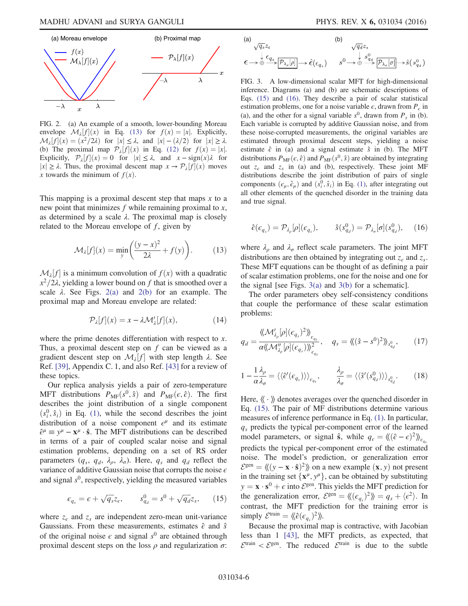<span id="page-5-0"></span>

FIG. 2. (a) An example of a smooth, lower-bounding Moreau envelope  $\mathcal{M}_{\lambda}[f](x)$  in Eq. [\(13\)](#page-5-3) for  $f(x) = |x|$ . Explicitly,<br> $\mathcal{M}_{\lambda}[f](x) = (x^2/2)$  for  $|x| \leq \lambda$  and  $|x| = (1/2)$  for  $|x| > \lambda$  $\mathcal{M}_{\lambda}[f](x) = (x^2/2\lambda)$  for  $|x| \leq \lambda$ , and  $|x| - (\lambda/2)$  for  $|x| \geq \lambda$ .<br>(b) The proximal map  $\mathcal{D}_{\lambda}[f](x)$  in Eq. (12) for  $f(x) = |x|$ . (b) The proximal map  $\mathcal{P}_{\lambda}[f](x)$  in Eq. [\(12\)](#page-4-4) for  $f(x) = |x|$ .<br>
Finally  $\mathcal{P}_{\lambda}[f](x) = 0$  for  $|x| \leq \lambda$  and  $x - sign(x)\lambda$  for Explicitly,  $\mathcal{P}_{\lambda}[f](x) = 0$  for  $|x| \leq \lambda$ , and  $x - \text{sign}(x)\lambda$  for  $|x| > \lambda$ . Thus the proximal descent map  $x \to \mathcal{P}_{\lambda}[f](x)$  moves  $|x| \geq \lambda$ . Thus, the proximal descent map  $x \to \mathcal{P}_{\lambda}[f](x)$  moves x towards the minimum of  $f(x)$ .

<span id="page-5-3"></span>This mapping is a proximal descent step that maps  $x$  to a new point that minimizes  $f$  while remaining proximal to  $x$ , as determined by a scale  $\lambda$ . The proximal map is closely related to the Moreau envelope of  $f$ , given by

$$
\mathcal{M}_{\lambda}[f](x) = \min_{y} \left( \frac{(y - x)^2}{2\lambda} + f(y) \right). \tag{13}
$$

 $\mathcal{M}_{\lambda}[f]$  is a minimum convolution of  $f(x)$  with a quadratic  $x^2/2$  wielding a lower bound on f that is smoothed over a  $x^2/2\lambda$ , yielding a lower bound on f that is smoothed over a scale  $\lambda$ . See Figs. [2\(a\)](#page-5-0) and [2\(b\)](#page-5-0) for an example. The proximal map and Moreau envelope are related:

$$
\mathcal{P}_{\lambda}[f](x) = x - \lambda \mathcal{M}'_{\lambda}[f](x),\tag{14}
$$

where the prime denotes differentiation with respect to x. Thus, a proximal descent step on  $f$  can be viewed as a gradient descent step on  $M_{\lambda}[f]$  with step length  $\lambda$ . See<br>Ref. [39] Annendix C 1 and also Ref. [43] for a review of Ref. [\[39\]](#page-15-0), Appendix C. 1, and also Ref. [\[43\]](#page-15-4) for a review of these topics.

Our replica analysis yields a pair of zero-temperature MFT distributions  $P_{MF}(s^0, \hat{s})$  and  $P_{MF}(\epsilon, \hat{\epsilon})$ . The first describes the joint distribution of a single component  $(s_i^0, \hat{s}_i)$  in Eq. [\(1\),](#page-2-0) while the second describes the joint<br>distribution of a noise component  $c^{\mu}$  and its estimate distribution of a noise component  $\epsilon^{\mu}$  and its estimate  $\hat{\epsilon}^{\mu} \equiv y^{\mu} - {\bf x}^{\mu} \cdot \hat{\bf s}$ . The MFT distributions can be described in terms of a pair of coupled scalar noise and signal estimation problems, depending on a set of RS order parameters  $(q_s, q_d, \lambda_\rho, \lambda_\sigma)$ . Here,  $q_s$  and  $q_d$  reflect the variance of additive Gaussian noise that corrupts the noise  $\epsilon$ and signal  $s^0$ , respectively, yielding the measured variables

<span id="page-5-2"></span>
$$
\epsilon_{q_s} = \epsilon + \sqrt{q_s} z_\epsilon, \qquad s^0_{q_d} = s^0 + \sqrt{q_d} z_s, \qquad (15)
$$

<span id="page-5-4"></span>where  $z_{\epsilon}$  and  $z_{s}$  are independent zero-mean unit-variance Gaussians. From these measurements, estimates  $\hat{\epsilon}$  and  $\hat{s}$ of the original noise  $\epsilon$  and signal  $s^0$  are obtained through proximal descent steps on the loss  $\rho$  and regularization  $\sigma$ :

<span id="page-5-1"></span>(a)  
\n
$$
\sqrt{q_s} z_{\epsilon}
$$
\n
$$
\downarrow \epsilon_{q_s} \xrightarrow[\mathcal{P}_{\lambda_{\rho}}[\rho]] \to \hat{\epsilon}(\epsilon_{q_s})
$$
\n
$$
s^0 \to \stackrel{\downarrow}{\oplus} \xrightarrow{s^0_{q_d}} \overline{[\mathcal{P}_{\lambda_{\sigma}}[\sigma]]} \to \hat{s}(s^0_{q_d})
$$

FIG. 3. A low-dimensional scalar MFT for high-dimensional inference. Diagrams (a) and (b) are schematic descriptions of Eqs. [\(15\)](#page-5-2) and [\(16\).](#page-5-4) They describe a pair of scalar statistical estimation problems, one for a noise variable  $\epsilon$ , drawn from  $P_{\epsilon}$  in (a), and the other for a signal variable  $s^0$ , drawn from  $P_s$  in (b). Each variable is corrupted by additive Gaussian noise, and from these noise-corrupted measurements, the original variables are estimated through proximal descent steps, yielding a noise estimate  $\hat{\epsilon}$  in (a) and a signal estimate  $\hat{s}$  in (b). The MFT distributions  $P_{MF}(\epsilon, \hat{\epsilon})$  and  $P_{MF}(s^0, \hat{s})$  are obtained by integrating out  $z_{\epsilon}$  and  $z_{s}$  in (a) and (b), respectively. These joint MF distributions describe the joint distribution of pairs of single components  $(\epsilon_{\mu}, \hat{\epsilon}_{\mu})$  and  $(s_i^0, \hat{s}_i)$  in Eq. [\(1\)](#page-2-0), after integrating out all other elements of the quenched disorder in the training data and true signal.

$$
\hat{\epsilon}(\epsilon_{q_s}) = \mathcal{P}_{\lambda_{\rho}}[\rho](\epsilon_{q_s}), \qquad \hat{s}(s_{q_d}^0) = \mathcal{P}_{\lambda_{\sigma}}[\sigma](s_{q_d}^0), \qquad (16)
$$

where  $\lambda_{\rho}$  and  $\lambda_{\sigma}$  reflect scale parameters. The joint MFT distributions are then obtained by integrating out  $z<sub>e</sub>$  and  $z<sub>s</sub>$ . These MFT equations can be thought of as defining a pair of scalar estimation problems, one for the noise and one for the signal [see Figs. [3\(a\)](#page-5-1) and [3\(b\)](#page-5-1) for a schematic].

<span id="page-5-5"></span>The order parameters obey self-consistency conditions that couple the performance of these scalar estimation problems:

$$
q_d = \frac{\langle \langle \mathcal{M}'_{\lambda_{\rho}}[\rho](\epsilon_{q_s})^2 \rangle \rangle_{\epsilon_{q_s}}}{\alpha \langle \langle \mathcal{M}''_{\lambda_{\rho}}[\rho](\epsilon_{q_s}) \rangle \rangle_{\epsilon_{q_s}}^2}, \quad q_s = \langle \langle (\hat{s} - s^0)^2 \rangle \rangle_{s^0_{q_d}}, \quad (17)
$$

<span id="page-5-6"></span>
$$
1 - \frac{1}{\alpha} \frac{\lambda_{\rho}}{\lambda_{\sigma}} = \langle \langle \hat{\epsilon}'(\epsilon_{q_{s}}) \rangle \rangle_{\epsilon_{q_{s}}}, \qquad \frac{\lambda_{\rho}}{\lambda_{\sigma}} = \langle \langle \hat{s}'(\epsilon_{q_{d}}^{0}) \rangle \rangle_{s_{q_{d}}^{0}}.
$$
 (18)

Here,  $\langle \langle \cdot \rangle \rangle$  denotes averages over the quenched disorder in Eq. [\(15\)](#page-5-2). The pair of MF distributions determine various measures of inference performance in Eq. [\(1\)](#page-2-0). In particular,  $q_s$  predicts the typical per-component error of the learned model parameters, or signal  $\hat{\mathbf{s}}$ , while  $q_{\epsilon} = \langle (\hat{\epsilon} - \epsilon)^2 \rangle \rangle_{\epsilon_q}$ predicts the typical per-component error of the estimated noise. The model's prediction, or generalization error  $\mathcal{E}^{\text{gen}} = \langle (y - \mathbf{x} \cdot \hat{\mathbf{s}})^2 \rangle$  on a new example  $(\mathbf{x}, y)$  not present in the training set  $\{x^{\mu}, y^{\mu}\}$ , can be obtained by substituting  $y = \mathbf{x} \cdot \mathbf{s}^0 + \epsilon$  into  $\mathcal{E}^{\text{gen}}$ . This yields the MFT prediction for the generalization error,  $\mathcal{E}^{\text{gen}} = \langle \langle (\epsilon_{q_s})^2 \rangle \rangle = q_s + \langle \epsilon^2 \rangle$ . In contrast, the MFT prediction for the training error is simply  $\mathcal{E}^{\text{train}} = \langle \langle \hat{\epsilon}(\epsilon_{q_s})^2 \rangle \rangle$ .<br>Because the proximal n

Because the proximal map is contractive, with Jacobian less than 1 [\[43\],](#page-15-4) the MFT predicts, as expected, that  $\mathcal{E}^{\text{train}} < \mathcal{E}^{\text{gen}}$ . The reduced  $\mathcal{E}^{\text{train}}$  is due to the subtle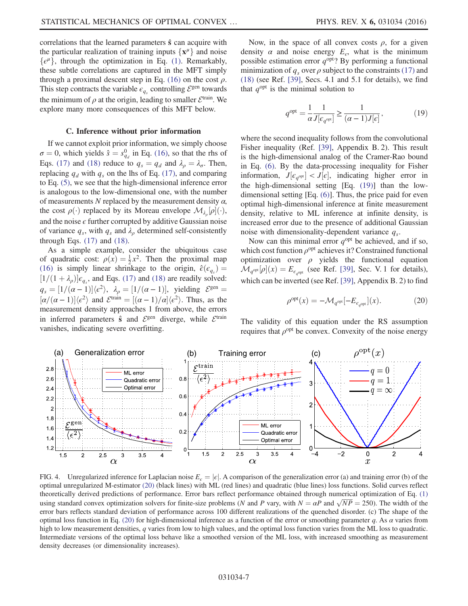correlations that the learned parameters  $\hat{s}$  can acquire with the particular realization of training inputs  $\{x^{\mu}\}\$  and noise  $\{\epsilon^{\mu}\}\$ , through the optimization in Eq. [\(1\).](#page-2-0) Remarkably, these subtle correlations are captured in the MFT simply through a proximal descent step in Eq. [\(16\)](#page-5-4) on the cost  $\rho$ . This step contracts the variable  $\epsilon_{q_s}$  controlling  $\mathcal{E}^{\text{gen}}$  towards the minimum of  $\rho$  at the origin, leading to smaller  $\mathcal{E}^{\text{train}}$ . We explore many more consequences of this MFT below.

#### C. Inference without prior information

If we cannot exploit prior information, we simply choose  $\sigma = 0$ , which yields  $\hat{s} = s_{q_d}^0$  in Eq. [\(16\)](#page-5-4), so that the rhs of Eqs. [\(17\)](#page-5-5) and [\(18\)](#page-5-6) reduce to  $q_s = q_d$  and  $\lambda_\rho = \lambda_\sigma$ . Then, replacing  $q_d$  with  $q_s$  on the lhs of Eq. [\(17\)](#page-5-5), and comparing to Eq. [\(5\),](#page-4-1) we see that the high-dimensional inference error is analogous to the low-dimensional one, with the number of measurements N replaced by the measurement density  $\alpha$ , the cost  $\rho(\cdot)$  replaced by its Moreau envelope  $\mathcal{M}_{\lambda_{\rho}}[\rho](\cdot)$ , and the noise  $\epsilon$  further corrupted by additive Gaussian noise of variance  $q_s$ , with  $q_s$  and  $\lambda_\rho$  determined self-consistently through Eqs.  $(17)$  and  $(18)$ .

As a simple example, consider the ubiquitous case of quadratic cost:  $\rho(x) = \frac{1}{2}x^2$ . Then the proximal map (16) is simply linear shrinkage to the origin  $\hat{\varepsilon}(\varepsilon)$  – [\(16\)](#page-5-4) is simply linear shrinkage to the origin,  $\hat{\epsilon}(\epsilon_{a}) =$  $[1/(1+\lambda_{\rho})]\epsilon_{q_s}$ , and Eqs. [\(17\)](#page-5-5) and [\(18\)](#page-5-6) are readily solved:  $q_s = [1/(\alpha - 1)] \langle e^2 \rangle$ ,  $\lambda_\rho = [1/(\alpha - 1)]$ , yielding  $\mathcal{E}^{\text{gen}} =$ <br> $\frac{\alpha}{\alpha} \frac{1}{\alpha^2} \frac{1}{\alpha^2} \frac{1}{\alpha^2} \frac{1}{\alpha^2}$  $[\alpha/(\alpha-1)]\langle \epsilon^2 \rangle$  and  $\mathcal{E}^{\text{train}} = [(\alpha-1)/\alpha]\langle \epsilon^2 \rangle$ . Thus, as the measurement density approaches 1 from above the errors measurement density approaches 1 from above, the errors in inferred parameters  $\hat{s}$  and  $\mathcal{E}^{\text{gen}}$  diverge, while  $\mathcal{E}^{\text{train}}$ vanishes, indicating severe overfitting.

 $3.5$ 

<span id="page-6-2"></span> $2.8$ 

 $2.6$ 

 $2.4$ 

 $2.2$ 

 $\overline{2}$ 

 $1.8$ 

 $1.6$ 

 $1.4$ 

 $1.2$ 

 $1.5$ 

 $\overline{c}$ 

 $2.5$ 

3  $\alpha$ 

<span id="page-6-0"></span>Now, in the space of all convex costs  $\rho$ , for a given density  $\alpha$  and noise energy  $E_{\epsilon}$ , what is the minimum possible estimation error  $q^{\text{opt}}$ ? By performing a functional minimization of  $q_s$  over  $\rho$  subject to the constraints [\(17\)](#page-5-5) and [\(18\)](#page-5-6) (see Ref. [\[39\],](#page-15-0) Secs. 4.1 and 5.1 for details), we find that  $q^{\text{opt}}$  is the minimal solution to

$$
q^{\text{opt}} = \frac{1}{\alpha} \frac{1}{J[\epsilon_{q^{\text{opt}}}]} \ge \frac{1}{(\alpha - 1)J[\epsilon]},
$$
\n(19)

where the second inequality follows from the convolutional Fisher inequality (Ref. [\[39\]](#page-15-0), Appendix B. 2). This result is the high-dimensional analog of the Cramer-Rao bound in Eq. [\(6\).](#page-4-0) By the data-processing inequality for Fisher information,  $J[\epsilon_{q^{opt}}] < J[\epsilon]$ , indicating higher error in<br>the high dimensional setting [Eq. (19)] than the low the high-dimensional setting [Eq. [\(19\)](#page-6-0)] than the lowdimensional setting [Eq. [\(6\)](#page-4-0)]. Thus, the price paid for even optimal high-dimensional inference at finite measurement density, relative to ML inference at infinite density, is increased error due to the presence of additional Gaussian noise with dimensionality-dependent variance  $q_s$ .

<span id="page-6-1"></span>Now can this minimal error  $q^{\text{opt}}$  be achieved, and if so, which cost function  $\rho^{opt}$  achieves it? Constrained functional optimization over  $\rho$  yields the functional equation  $\mathcal{M}_{q^{\text{opt}}}[\rho](x) = E_{\epsilon_{q^{\text{opt}}}}$  (see Ref. [\[39\]](#page-15-0), Sec. V. 1 for details), which can be inverted (see Ref. [\[39\],](#page-15-0) Appendix B. 2) to find

$$
\rho^{\text{opt}}(x) = -\mathcal{M}_{q^{\text{opt}}}[-E_{\epsilon_{q^{\text{opt}}}}](x). \tag{20}
$$

 $\mathcal{X}$ 

4



2.5

3

 $\alpha$ 

 $3.5$ 

 $\overline{4}$ 

FIG. 4. Unregularized inference for Laplacian noise  $E<sub>e</sub> = |\epsilon|$ . A comparison of the generalization error (a) and training error (b) of the optimal unregularized M-estimator [\(20\)](#page-6-1) (black lines) with ML (red lines) and quadratic (blue lines) loss functions. Solid curves reflect theoretically derived predictions of performance. Error bars reflect performance obtained through numerical optimization of Eq. [\(1\)](#page-2-0) using standard convex optimization solvers for finite-size problems (N and P vary, with  $N = \alpha P$  and  $\sqrt{NP} = 250$ ). The width of the error hars reflects standard deviation of performance across 100 different realizations o error bars reflects standard deviation of performance across 100 different realizations of the quenched disorder. (c) The shape of the optimal loss function in Eq. [\(20\)](#page-6-1) for high-dimensional inference as a function of the error or smoothing parameter q. As  $\alpha$  varies from high to low measurement densities, q varies from low to high values, and the optimal loss function varies from the ML loss to quadratic. Intermediate versions of the optimal loss behave like a smoothed version of the ML loss, with increased smoothing as measurement density decreases (or dimensionality increases).

 $1.5$ 

 $\mathbf 2$ 

The validity of this equation under the RS assumption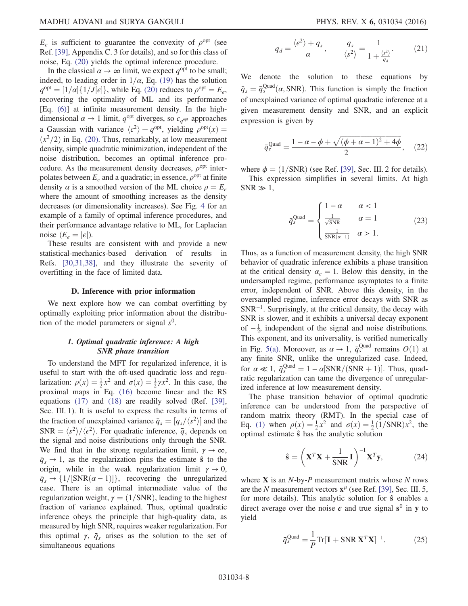$E<sub>e</sub>$  is sufficient to guarantee the convexity of  $\rho<sup>opt</sup>$  (see Ref. [\[39\]](#page-15-0), Appendix C. 3 for details), and so for this class of noise, Eq. [\(20\)](#page-6-1) yields the optimal inference procedure.

In the classical  $\alpha \to \infty$  limit, we expect  $q^{\text{opt}}$  to be small; indeed, to leading order in  $1/\alpha$ , Eq. [\(19\)](#page-6-0) has the solution  $q^{\text{opt}} = [1/\alpha] \{1/\overline{J}[\epsilon]\},$  while Eq. [\(20\)](#page-6-1) reduces to  $\rho^{\text{opt}} = E_{\epsilon}$ ,<br>recovering the optimality of MI and its performance recovering the optimality of ML and its performance [Eq. [\(6\)](#page-4-0)] at infinite measurement density. In the highdimensional  $\alpha \to 1$  limit,  $q^{\text{opt}}$  diverges, so  $\epsilon_{q^{\text{opt}}}$  approaches a Gaussian with variance  $\langle e^2 \rangle + q^{\text{opt}}$ , yielding  $\rho^{\text{opt}}(x) =$  $(x^2/2)$  in Eq. [\(20\).](#page-6-1) Thus, remarkably, at low measurement density, simple quadratic minimization, independent of the noise distribution, becomes an optimal inference procedure. As the measurement density decreases,  $\rho^{opt}$  interpolates between  $E<sub>\epsilon</sub>$  and a quadratic; in essence,  $\rho<sup>opt</sup>$  at finite density  $\alpha$  is a smoothed version of the ML choice  $\rho = E_{\epsilon}$ where the amount of smoothing increases as the density decreases (or dimensionality increases). See Fig. [4](#page-6-2) for an example of a family of optimal inference procedures, and their performance advantage relative to ML, for Laplacian noise  $(E_{\epsilon} = |\epsilon|)$ .

These results are consistent with and provide a new statistical-mechanics-based derivation of results in Refs. [\[30,31,38\],](#page-14-17) and they illustrate the severity of overfitting in the face of limited data.

#### D. Inference with prior information

We next explore how we can combat overfitting by optimally exploiting prior information about the distribution of the model parameters or signal  $s^0$ .

## 1. Optimal quadratic inference: A high SNR phase transition

<span id="page-7-3"></span>To understand the MFT for regularized inference, it is useful to start with the oft-used quadratic loss and regularization:  $\rho(x) = \frac{1}{2}x^2$  and  $\sigma(x) = \frac{1}{2}\gamma x^2$ . In this case, the proximal maps in Eq. (16) become linear and the RS proximal maps in Eq. [\(16\)](#page-5-4) become linear and the RS equations [\(17\)](#page-5-5) and [\(18\)](#page-5-6) are readily solved (Ref. [\[39\]](#page-15-0), Sec. III. 1). It is useful to express the results in terms of the fraction of unexplained variance  $\bar{q}_s = [q_s/(s^2)]$  and the<br>SNP =  $\langle s^2 \rangle / \langle s^2 \rangle$ . For quadratic inference  $\bar{q}_s$  denends on  $SNR = \langle s^2 \rangle / \langle \epsilon^2 \rangle$ . For quadratic inference,  $\bar{q}_s$  depends on the signal and noise distributions only through the SNR. We find that in the strong regularization limit,  $\gamma \to \infty$ ,  $\bar{q}_s \rightarrow 1$ , as the regularization pins the estimate  $\hat{s}$  to the origin, while in the weak regularization limit  $\gamma \to 0$ ,  $\overline{q}_s \rightarrow \{1/[\text{SNR}(\alpha - 1)]\}$ , recovering the unregularized<br>case. There is an optimal intermediate value of the case. There is an optimal intermediate value of the regularization weight,  $\gamma = (1/SNR)$ , leading to the highest fraction of variance explained. Thus, optimal quadratic inference obeys the principle that high-quality data, as measured by high SNR, requires weaker regularization. For this optimal  $\gamma$ ,  $\bar{q}_s$  arises as the solution to the set of simultaneous equations

$$
q_d = \frac{\langle \epsilon^2 \rangle + q_s}{\alpha}, \qquad \frac{q_s}{\langle s^2 \rangle} = \frac{1}{1 + \frac{\langle s^2 \rangle}{q_d}}.
$$
 (21)

<span id="page-7-1"></span>We denote the solution to these equations by  $\bar{q}_s = \bar{q}_s^{\text{Quad}}(\alpha, \text{SNR})$ . This function is simply the fraction of unavalation of a continual quadration information of a of unexplained variance of optimal quadratic inference at a given measurement density and SNR, and an explicit expression is given by

$$
\bar{q}_s^{\text{Quad}} = \frac{1 - \alpha - \phi + \sqrt{(\phi + \alpha - 1)^2 + 4\phi}}{2}, \quad (22)
$$

where  $\phi = (1/\text{SNR})$  (see Ref. [\[39\],](#page-15-0) Sec. III. 2 for details).

<span id="page-7-2"></span>This expression simplifies in several limits. At high  $SNR \gg 1$ ,

$$
\bar{q}_s^{\text{Quad}} = \begin{cases}\n1 - \alpha & \alpha < 1 \\
\frac{1}{\sqrt{\text{SNR}}} & \alpha = 1 \\
\frac{1}{\text{SNR}(\alpha - 1)} & \alpha > 1.\n\end{cases} \tag{23}
$$

Thus, as a function of measurement density, the high SNR behavior of quadratic inference exhibits a phase transition at the critical density  $\alpha_c = 1$ . Below this density, in the undersampled regime, performance asymptotes to a finite error, independent of SNR. Above this density, in the oversampled regime, inference error decays with SNR as  $SNR^{-1}$ . Surprisingly, at the critical density, the decay with SNR is slower, and it exhibits a universal decay exponent of  $-\frac{1}{2}$ , independent of the signal and noise distributions. This exponent, and its universality, is verified numerically in Fig. [5\(a\)](#page-8-0). Moreover, as  $\alpha \to 1$ ,  $\bar{q}_s^{\text{Quad}}$  remains  $O(1)$  at any finite SNR unlike the unregularized case. Indeed any finite SNR, unlike the unregularized case. Indeed, for  $\alpha \ll 1$ ,  $\bar{q}_S^{\text{Quad}} = 1 - \alpha[\text{SNR}/(\text{SNR}+1)]$ . Thus, quad-<br>ratic regularization can tame the divergence of unregularratic regularization can tame the divergence of unregularized inference at low measurement density.

The phase transition behavior of optimal quadratic inference can be understood from the perspective of random matrix theory (RMT). In the special case of Eq. [\(1\)](#page-2-0) when  $\rho(x) = \frac{1}{2}x^2$  and  $\sigma(x) = \frac{1}{2}(\frac{1}{SNR})x^2$ , the optimal estimate  $\hat{\mathbf{s}}$  has the analytic solution optimal estimate  $\hat{s}$  has the analytic solution

$$
\hat{\mathbf{s}} = \left(\mathbf{X}^T \mathbf{X} + \frac{1}{\text{SNR}} \mathbf{I}\right)^{-1} \mathbf{X}^T \mathbf{y},\tag{24}
$$

<span id="page-7-0"></span>where  $X$  is an  $N$ -by- $P$  measurement matrix whose  $N$  rows are the N measurement vectors  $x^{\mu}$  (see Ref. [\[39\],](#page-15-0) Sec. III. 5, for more details). This analytic solution for  $\hat{s}$  enables a direct average over the noise  $\epsilon$  and true signal s<sup>0</sup> in y to yield

$$
\bar{q}_s^{\text{Quad}} = \frac{1}{P} \text{Tr}[\mathbf{I} + \text{SNR} \mathbf{X}^T \mathbf{X}]^{-1}.
$$
 (25)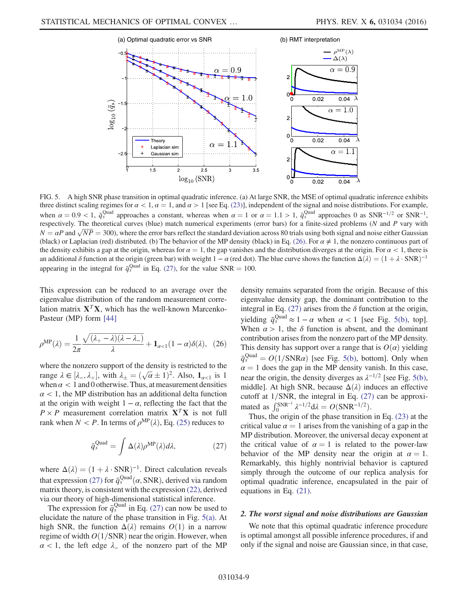<span id="page-8-0"></span>

FIG. 5. A high SNR phase transition in optimal quadratic inference. (a) At large SNR, the MSE of optimal quadratic inference exhibits three distinct scaling regimes for  $\alpha < 1$ ,  $\alpha = 1$ , and  $\alpha > 1$  [see Eq. [\(23\)\]](#page-7-2), independent of the signal and noise distributions. For example, when  $\alpha = 0.9 < 1$ ,  $\bar{q}_{s}^{\text{Quad}}$  approaches a constant, whereas when  $\alpha = 1$  or  $\alpha = 1.1 > 1$ ,  $\bar{q}_{s}^{\text{Quad}}$  approaches 0 as SNR<sup>-1/2</sup> or SNR<sup>-1</sup>, respectively. The theoretical curves (blue) match numerical experiments respectively. The theoretical curves (blue) match numerical experiments (error bars) for a finite-sized problems (N and P vary with  $N = \alpha P$  and  $\sqrt{NP} = 300$ , where the error bars reflect the standard deviation across 80 trials using both signal and noise either Gaussian (black) or Lanlacian (red) distributed (b). The behavior of the MP density (black) (black) or Laplacian (red) distributed. (b) The behavior of the MP density (black) in Eq. [\(26\)](#page-8-2). For  $\alpha \neq 1$ , the nonzero continuous part of the density exhibits a gap at the origin, whereas for  $\alpha = 1$ , the gap vanishes and the distribution diverges at the origin. For  $\alpha < 1$ , there is an additional δ function at the origin (green bar) with weight  $1 - \alpha$  (red dot). The blue curve shows the function  $\Delta(\lambda) = (1 + \lambda \cdot SNR)^{-1}$ appearing in the integral for  $\bar{q}_s^{\text{Quad}}$  in Eq. [\(27\),](#page-8-1) for the value SNR = 100.

This expression can be reduced to an average over the eigenvalue distribution of the random measurement correlation matrix  $X^T X$ , which has the well-known Marcenko-Pasteur (MP) form [\[44\]](#page-15-5)

<span id="page-8-2"></span>
$$
\rho^{\rm MP}(\lambda) = \frac{1}{2\pi} \frac{\sqrt{(\lambda_+ - \lambda)(\lambda - \lambda_-)}}{\lambda} + \mathbf{1}_{\alpha < 1} (1 - \alpha) \delta(\lambda), \tag{26}
$$

<span id="page-8-1"></span>where the nonzero support of the density is restricted to the range  $\lambda \in [\lambda_-, \lambda_+]$ , with  $\lambda_{\pm} = (\sqrt{\alpha} \pm 1)^2$ . Also,  $\mathbf{1}_{\alpha < 1}$  is 1<br>when  $\alpha < 1$  and 0 otherwise. Thus at measurement densities when  $\alpha$  < 1 and 0 otherwise. Thus, at measurement densities  $\alpha$  < 1, the MP distribution has an additional delta function at the origin with weight  $1 - \alpha$ , reflecting the fact that the  $P \times P$  measurement correlation matrix  $X^T X$  is not full rank when  $N < P$ . In terms of  $\rho^{MP}(\lambda)$ , Eq. [\(25\)](#page-7-0) reduces to

$$
\bar{q}_s^{\text{Quad}} = \int \Delta(\lambda) \rho^{\text{MP}}(\lambda) d\lambda, \tag{27}
$$

where  $\Delta(\lambda) = (1 + \lambda \cdot SNR)^{-1}$ . Direct calculation reveals that expression [\(27\)](#page-8-1) for  $\bar{q}_s^{\text{Quad}}(\alpha, \text{SNR})$ , derived via random<br>matrix theory is consistent with the expression (22) derived matrix theory, is consistent with the expression [\(22\),](#page-7-1) derived via our theory of high-dimensional statistical inference.

The expression for  $\bar{q}_s^{\text{Quad}}$  in Eq. [\(27\)](#page-8-1) can now be used to elucidate the nature of the phase transition in Fig. [5\(a\).](#page-8-0) At high SNR, the function  $\Delta(\lambda)$  remains  $O(1)$  in a narrow regime of width  $O(1/SNR)$  near the origin. However, when  $\alpha$  < 1, the left edge  $\lambda$  of the nonzero part of the MP density remains separated from the origin. Because of this eigenvalue density gap, the dominant contribution to the integral in Eq. [\(27\)](#page-8-1) arises from the  $\delta$  function at the origin, yielding  $\bar{q}_s^{\text{Quad}} \approx 1 - \alpha$  when  $\alpha < 1$  [see Fig. [5\(b\)](#page-8-0), top]. When  $\alpha > 1$ , the  $\delta$  function is absent, and the dominant contribution arises from the nonzero part of the MP density. This density has support over a range that is  $O(\alpha)$  yielding  $\bar{q}_s^{\text{Quad}} = O(1/\text{SNR}\alpha)$  [see Fig. [5\(b\)](#page-8-0), bottom]. Only when  $\alpha = 1$  does the gap in the MP density vanish. In this case  $\alpha = 1$  does the gap in the MP density vanish. In this case, near the origin, the density diverges as  $\lambda^{-1/2}$  [see Fig. [5\(b\)](#page-8-0), middle]. At high SNR, because  $\Delta(\lambda)$  induces an effective cutoff at  $1/SNR$ , the integral in Eq. [\(27\)](#page-8-1) can be approximated as  $\int_0^{SNR^{-1}} \lambda^{-1/2} d\lambda = O(SNR^{-1/2}).$ <br>Thus the origin of the phase transition

Thus, the origin of the phase transition in Eq. [\(23\)](#page-7-2) at the critical value  $\alpha = 1$  arises from the vanishing of a gap in the MP distribution. Moreover, the universal decay exponent at the critical value of  $\alpha = 1$  is related to the power-law behavior of the MP density near the origin at  $\alpha = 1$ . Remarkably, this highly nontrivial behavior is captured simply through the outcome of our replica analysis for optimal quadratic inference, encapsulated in the pair of equations in Eq. [\(21\)](#page-7-3).

#### 2. The worst signal and noise distributions are Gaussian

We note that this optimal quadratic inference procedure is optimal amongst all possible inference procedures, if and only if the signal and noise are Gaussian since, in that case,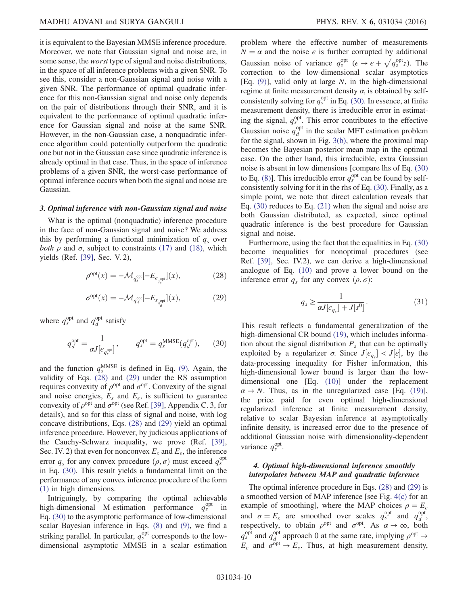it is equivalent to the Bayesian MMSE inference procedure. Moreover, we note that Gaussian signal and noise are, in some sense, the worst type of signal and noise distributions, in the space of all inference problems with a given SNR. To see this, consider a non-Gaussian signal and noise with a given SNR. The performance of optimal quadratic inference for this non-Gaussian signal and noise only depends on the pair of distributions through their SNR, and it is equivalent to the performance of optimal quadratic inference for Gaussian signal and noise at the same SNR. However, in the non-Gaussian case, a nonquadratic inference algorithm could potentially outperform the quadratic one but not in the Gaussian case since quadratic inference is already optimal in that case. Thus, in the space of inference problems of a given SNR, the worst-case performance of optimal inference occurs when both the signal and noise are Gaussian.

### 3. Optimal inference with non-Gaussian signal and noise

<span id="page-9-0"></span>What is the optimal (nonquadratic) inference procedure in the face of non-Gaussian signal and noise? We address this by performing a functional minimization of  $q_s$  over both  $\rho$  and  $\sigma$ , subject to constraints [\(17\)](#page-5-5) and [\(18\)](#page-5-6), which yields (Ref. [\[39\]](#page-15-0), Sec. V. 2),

$$
\rho^{\text{opt}}(x) = -\mathcal{M}_{q_s^{\text{opt}}}[-E_{\epsilon_{q_s^{\text{opt}}}}](x),\tag{28}
$$

$$
\sigma^{\rm opt}(x) = -\mathcal{M}_{q_d^{\rm opt}}[-E_{s_{q_d^{\rm opt}}]}(x),\tag{29}
$$

<span id="page-9-2"></span><span id="page-9-1"></span>where  $q_s^{\text{opt}}$  and  $q_d^{\text{opt}}$  satisfy

$$
q_d^{\text{opt}} = \frac{1}{\alpha J [ \epsilon_{q_s^{\text{opt}}} ]}, \qquad q_s^{\text{opt}} = q_s^{\text{MMSE}} (q_d^{\text{opt}}), \qquad (30)
$$

and the function  $q_s^{\text{MMSE}}$  is defined in Eq. [\(9\).](#page-4-5) Again, the validity of Eqs. [\(28\)](#page-9-0) and [\(29\)](#page-9-1) under the RS assumption requires convexity of  $\rho^{opt}$  and  $\sigma^{opt}$ . Convexity of the signal and noise energies,  $E_s$  and  $E_e$ , is sufficient to guarantee convexity of  $\rho^{opt}$  and  $\sigma^{opt}$  (see Ref. [\[39\],](#page-15-0) Appendix C. 3, for details), and so for this class of signal and noise, with log concave distributions, Eqs. [\(28\)](#page-9-0) and [\(29\)](#page-9-1) yield an optimal inference procedure. However, by judicious applications of the Cauchy-Schwarz inequality, we prove (Ref. [\[39\]](#page-15-0), Sec. IV. 2) that even for nonconvex  $E_s$  and  $E_e$ , the inference error  $q_s$  for any convex procedure  $(\rho, \sigma)$  must exceed  $q_s^{\text{opt}}$ <br>in Eq. (30) This result vields a fundamental limit on the in Eq. [\(30\)](#page-9-2). This result yields a fundamental limit on the performance of any convex inference procedure of the form [\(1\)](#page-2-0) in high dimensions.

Intriguingly, by comparing the optimal achievable high-dimensional M-estimation performance  $q_s^{\text{opt}}$  in Eq. [\(30\)](#page-9-2) to the asymptotic performance of low-dimensional scalar Bayesian inference in Eqs. [\(8\)](#page-4-2) and [\(9\)](#page-4-5), we find a striking parallel. In particular,  $q_s^{\text{opt}}$  corresponds to the lowdimensional asymptotic MMSE in a scalar estimation problem where the effective number of measurements  $N = \alpha$  and the noise  $\epsilon$  is further corrupted by additional Gaussian noise of variance  $q_s^{\text{opt}}$  ( $\epsilon \to \epsilon + \sqrt{q_s^{\text{opt}}}z$ ). The correction to the low-dimensional scalar asymptotics correction to the low-dimensional scalar asymptotics [Eq.  $(9)$ ], valid only at large N, in the high-dimensional regime at finite measurement density  $\alpha$ , is obtained by selfconsistently solving for  $q_s^{\text{opt}}$  in Eq. [\(30\)](#page-9-2). In essence, at finite measurement density, there is irreducible error in estimating the signal,  $q_s^{\text{opt}}$ . This error contributes to the effective Gaussian noise  $q_d^{\text{opt}}$  in the scalar MFT estimation problem for the signal, shown in Fig. [3\(b\),](#page-5-1) where the proximal map becomes the Bayesian posterior mean map in the optimal case. On the other hand, this irreducible, extra Gaussian noise is absent in low dimensions [compare lhs of Eq. [\(30\)](#page-9-2) to Eq. [\(8\)\]](#page-4-2). This irreducible error  $q_s^{\text{opt}}$  can be found by selfconsistently solving for it in the rhs of Eq. [\(30\)](#page-9-2). Finally, as a simple point, we note that direct calculation reveals that Eq. [\(30\)](#page-9-2) reduces to Eq. [\(21\)](#page-7-3) when the signal and noise are both Gaussian distributed, as expected, since optimal quadratic inference is the best procedure for Gaussian signal and noise.

<span id="page-9-3"></span>Furthermore, using the fact that the equalities in Eq. [\(30\)](#page-9-2) become inequalities for nonoptimal procedures (see Ref. [\[39\],](#page-15-0) Sec. IV.2), we can derive a high-dimensional analogue of Eq. [\(10\)](#page-4-3) and prove a lower bound on the inference error  $q_s$  for any convex  $(\rho, \sigma)$ :

$$
q_s \ge \frac{1}{\alpha J[\epsilon_{q_s}] + J[s^0]}.\tag{31}
$$

This result reflects a fundamental generalization of the high-dimensional CR bound [\(19\)](#page-6-0), which includes information about the signal distribution  $P_s$  that can be optimally exploited by a regularizer  $\sigma$ . Since  $J[\epsilon_q] < J[\epsilon]$ , by the data processing inequality for Eisher information, this  $data-processing$  inequality for Fisher information, this high-dimensional lower bound is larger than the lowdimensional one [Eq. [\(10\)\]](#page-4-3) under the replacement  $\alpha \rightarrow N$ . Thus, as in the unregularized case [Eq. [\(19\)](#page-6-0)], the price paid for even optimal high-dimensional regularized inference at finite measurement density, relative to scalar Bayesian inference at asymptotically infinite density, is increased error due to the presence of additional Gaussian noise with dimensionality-dependent variance  $q_s^{\text{opt}}$ .

## 4. Optimal high-dimensional inference smoothly interpolates between MAP and quadratic inference

The optimal inference procedure in Eqs. [\(28\)](#page-9-0) and [\(29\)](#page-9-1) is a smoothed version of MAP inference [see Fig. [4\(c\)](#page-6-2) for an example of smoothing], where the MAP choices  $\rho = E_c$ and  $\sigma = E_s$  are smoothed over scales  $q_s^{\text{opt}}$  and  $q_d^{\text{opt}}$ ,<br>respectively to obtain  $q_s^{\text{opt}}$  and  $\sigma_s^{\text{opt}}$  as  $\sigma \to \infty$  both respectively, to obtain  $\rho^{opt}$  and  $\sigma^{opt}$ . As  $\alpha \to \infty$ , both  $q_s^{\text{opt}}$  and  $q_d^{\text{opt}}$  approach 0 at the same rate, implying  $\rho^{\text{opt}} \rightarrow$  $E_{\epsilon}$  and  $\sigma^{opt} \rightarrow E_{s}$ . Thus, at high measurement density,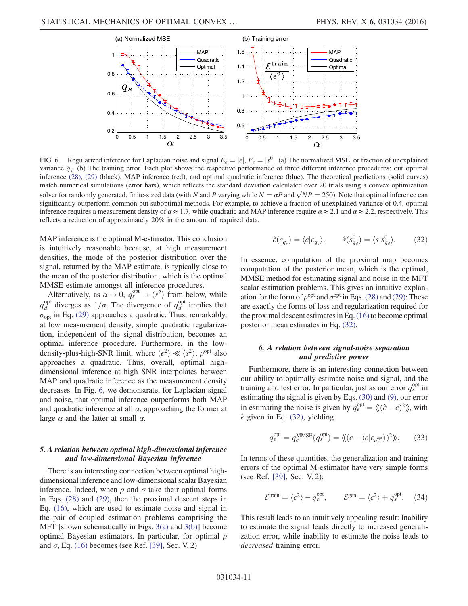<span id="page-10-0"></span>

FIG. 6. Regularized inference for Laplacian noise and signal  $E_{\epsilon} = |\epsilon|, E_{s} = |s^{0}|$ . (a) The normalized MSE, or fraction of unexplained variance  $\bar{q}_s$ . (b) The training error. Each plot shows the respective performance of three different inference procedures: our optimal inference [\(28\),](#page-9-0) [\(29\)](#page-9-1) (black), MAP inference (red), and optimal quadratic inference (blue). The theoretical predictions (solid curves) match numerical simulations (error bars), which reflects the standard deviation calculated over 20 trials using a convex optimization solver for randomly generated, finite-sized data (with N and P varying while  $N = \alpha P$  and  $\sqrt{NP} = 250$ ). Note that optimal inference can significantly outperform common but subontimal methods. For example, to achieve a fra significantly outperform common but suboptimal methods. For example, to achieve a fraction of unexplained variance of 0.4, optimal inference requires a measurement density of  $\alpha \approx 1.7$ , while quadratic and MAP inference require  $\alpha \approx 2.1$  and  $\alpha \approx 2.2$ , respectively. This reflects a reduction of approximately 20% in the amount of required data.

MAP inference is the optimal M-estimator. This conclusion is intuitively reasonable because, at high measurement densities, the mode of the posterior distribution over the signal, returned by the MAP estimate, is typically close to the mean of the posterior distribution, which is the optimal MMSE estimate amongst all inference procedures.

Alternatively, as  $\alpha \to 0$ ,  $q_s^{\text{opt}} \to \langle s^2 \rangle$  from below, while  $q_d^{\text{opt}}$  diverges as  $1/\alpha$ . The divergence of  $q_d^{\text{opt}}$  implies that  $\sigma_{\text{opt}}$  in Eq. [\(29\)](#page-9-1) approaches a quadratic. Thus, remarkably, at low measurement density, simple quadratic regularization, independent of the signal distribution, becomes an optimal inference procedure. Furthermore, in the lowdensity-plus-high-SNR limit, where  $\langle \epsilon^2 \rangle \ll \langle s^2 \rangle$ ,  $\rho^{\text{opt}}$  also approaches a quadratic. Thus, overall, optimal highdimensional inference at high SNR interpolates between MAP and quadratic inference as the measurement density decreases. In Fig. [6,](#page-10-0) we demonstrate, for Laplacian signal and noise, that optimal inference outperforms both MAP and quadratic inference at all  $\alpha$ , approaching the former at large  $\alpha$  and the latter at small  $\alpha$ .

## 5. A relation between optimal high-dimensional inference and low-dimensional Bayesian inference

<span id="page-10-1"></span>There is an interesting connection between optimal highdimensional inference and low-dimensional scalar Bayesian inference. Indeed, when  $\rho$  and  $\sigma$  take their optimal forms in Eqs. [\(28\)](#page-9-0) and [\(29\)](#page-9-1), then the proximal descent steps in Eq. [\(16\),](#page-5-4) which are used to estimate noise and signal in the pair of coupled estimation problems comprising the MFT [shown schematically in Figs. [3\(a\)](#page-5-1) and [3\(b\)](#page-5-1)] become optimal Bayesian estimators. In particular, for optimal  $\rho$ and  $\sigma$ , Eq. [\(16\)](#page-5-4) becomes (see Ref. [\[39\],](#page-15-0) Sec. V. 2)

$$
\hat{\epsilon}(\epsilon_{q_s}) = \langle \epsilon | \epsilon_{q_s} \rangle, \qquad \hat{s}(s_{q_d}^0) = \langle s | s_{q_d}^0 \rangle. \tag{32}
$$

In essence, computation of the proximal map becomes computation of the posterior mean, which is the optimal, MMSE method for estimating signal and noise in the MFT scalar estimation problems. This gives an intuitive explanation for the form of  $\rho^{opt}$  and  $\sigma^{opt}$  in Eqs. [\(28\)](#page-9-0) and [\(29\):](#page-9-1) These are exactly the forms of loss and regularization required for the proximal descent estimates in Eq.  $(16)$  to become optimal posterior mean estimates in Eq. [\(32\)](#page-10-1).

## 6. A relation between signal-noise separation and predictive power

Furthermore, there is an interesting connection between our ability to optimally estimate noise and signal, and the training and test error. In particular, just as our error  $q_s^{\text{opt}}$  in estimating the signal is given by Eqs. [\(30\)](#page-9-2) and [\(9\),](#page-4-5) our error in estimating the noise is given by  $q_{\epsilon}^{\text{opt}} = \langle ((\hat{\epsilon} - \epsilon)^2) \rangle$ , with  $\hat{\epsilon}$  given in Eq. (32), vielding  $\hat{\epsilon}$  given in Eq. [\(32\),](#page-10-1) yielding

$$
q_{\epsilon}^{\text{opt}} = q_{\epsilon}^{\text{MMSE}}(q_s^{\text{opt}}) = \langle \langle (\epsilon - \langle \epsilon | \epsilon_{q_s^{\text{opt}}} \rangle)^2 \rangle \rangle. \tag{33}
$$

<span id="page-10-2"></span>In terms of these quantities, the generalization and training errors of the optimal M-estimator have very simple forms (see Ref. [\[39\],](#page-15-0) Sec. V. 2):

$$
\mathcal{E}^{\text{train}} = \langle \epsilon^2 \rangle - q_{\epsilon}^{\text{opt}}, \qquad \mathcal{E}^{\text{gen}} = \langle \epsilon^2 \rangle + q_s^{\text{opt}}. \tag{34}
$$

This result leads to an intuitively appealing result: Inability to estimate the signal leads directly to increased generalization error, while inability to estimate the noise leads to decreased training error.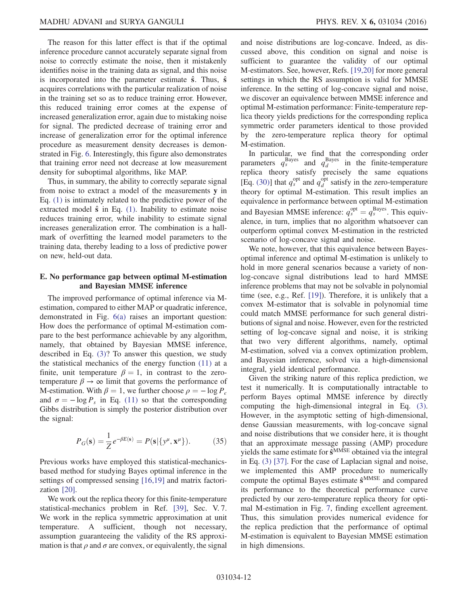The reason for this latter effect is that if the optimal inference procedure cannot accurately separate signal from noise to correctly estimate the noise, then it mistakenly identifies noise in the training data as signal, and this noise is incorporated into the parameter estimate  $\hat{s}$ . Thus,  $\hat{s}$ acquires correlations with the particular realization of noise in the training set so as to reduce training error. However, this reduced training error comes at the expense of increased generalization error, again due to mistaking noise for signal. The predicted decrease of training error and increase of generalization error for the optimal inference procedure as measurement density decreases is demonstrated in Fig. [6.](#page-10-0) Interestingly, this figure also demonstrates that training error need not decrease at low measurement density for suboptimal algorithms, like MAP.

Thus, in summary, the ability to correctly separate signal from noise to extract a model of the measurements y in Eq. [\(1\)](#page-2-0) is intimately related to the predictive power of the extracted model  $\hat{\mathbf{s}}$  in Eq. [\(1\)](#page-2-0). Inability to estimate noise reduces training error, while inability to estimate signal increases generalization error. The combination is a hallmark of overfitting the learned model parameters to the training data, thereby leading to a loss of predictive power on new, held-out data.

## E. No performance gap between optimal M-estimation and Bayesian MMSE inference

The improved performance of optimal inference via Mestimation, compared to either MAP or quadratic inference, demonstrated in Fig. [6\(a\)](#page-10-0) raises an important question: How does the performance of optimal M-estimation compare to the best performance achievable by any algorithm, namely, that obtained by Bayesian MMSE inference, described in Eq. [\(3\)?](#page-2-1) To answer this question, we study the statistical mechanics of the energy function [\(11\)](#page-4-6) at a finite, unit temperature  $\beta = 1$ , in contrast to the zerotemperature  $\beta \to \infty$  limit that governs the performance of M-estimation. With  $\beta = 1$ , we further choose  $\rho = -\log P_{\epsilon}$ and  $\sigma = -\log P_s$  in Eq. [\(11\)](#page-4-6) so that the corresponding Gibbs distribution is simply the posterior distribution over the signal:

$$
P_G(\mathbf{s}) = \frac{1}{Z} e^{-\beta E(\mathbf{s})} = P(\mathbf{s} | \{y^{\mu}, \mathbf{x}^{\mu}\}).
$$
 (35)

Previous works have employed this statistical-mechanicsbased method for studying Bayes optimal inference in the settings of compressed sensing [\[16,19\]](#page-14-11) and matrix factorization [\[20\]](#page-14-12).

We work out the replica theory for this finite-temperature statistical-mechanics problem in Ref. [\[39\],](#page-15-0) Sec. V. 7. We work in the replica symmetric approximation at unit temperature. A sufficient, though not necessary, assumption guaranteeing the validity of the RS approximation is that  $\rho$  and  $\sigma$  are convex, or equivalently, the signal and noise distributions are log-concave. Indeed, as discussed above, this condition on signal and noise is sufficient to guarantee the validity of our optimal M-estimators. See, however, Refs. [\[19,20\]](#page-14-24) for more general settings in which the RS assumption is valid for MMSE inference. In the setting of log-concave signal and noise, we discover an equivalence between MMSE inference and optimal M-estimation performance: Finite-temperature replica theory yields predictions for the corresponding replica symmetric order parameters identical to those provided by the zero-temperature replica theory for optimal M-estimation.

In particular, we find that the corresponding order parameters  $q_s^{\text{Bayes}}$  and  $q_d^{\text{Bayes}}$  in the finite-temperature replica theory satisfy precisely the same equations [Eq. [\(30\)\]](#page-9-2) that  $q_s^{\text{opt}}$  and  $q_d^{\text{opt}}$  satisfy in the zero-temperature theory for optimal M-estimation. This result implies an equivalence in performance between optimal M-estimation and Bayesian MMSE inference:  $q_s^{\text{opt}} = q_s^{\text{Bayes}}$ . This equiv-<br>alence in turn, implies that no algorithm whatsoever can alence, in turn, implies that no algorithm whatsoever can outperform optimal convex M-estimation in the restricted scenario of log-concave signal and noise.

We note, however, that this equivalence between Bayesoptimal inference and optimal M-estimation is unlikely to hold in more general scenarios because a variety of nonlog-concave signal distributions lead to hard MMSE inference problems that may not be solvable in polynomial time (see, e.g., Ref. [\[19\]\)](#page-14-24). Therefore, it is unlikely that a convex M-estimator that is solvable in polynomial time could match MMSE performance for such general distributions of signal and noise. However, even for the restricted setting of log-concave signal and noise, it is striking that two very different algorithms, namely, optimal M-estimation, solved via a convex optimization problem, and Bayesian inference, solved via a high-dimensional integral, yield identical performance.

Given the striking nature of this replica prediction, we test it numerically. It is computationally intractable to perform Bayes optimal MMSE inference by directly computing the high-dimensional integral in Eq. [\(3\)](#page-2-1). However, in the asymptotic setting of high-dimensional, dense Gaussian measurements, with log-concave signal and noise distributions that we consider here, it is thought that an approximate message passing (AMP) procedure yields the same estimate for  $\hat{\mathbf{s}}^{\text{MMSE}}$  obtained via the integral in Eq. [\(3\)](#page-2-1) [\[37\]](#page-14-23). For the case of Laplacian signal and noise, we implemented this AMP procedure to numerically compute the optimal Bayes estimate  $\hat{\mathbf{s}}^{\text{MMSE}}$  and compared its performance to the theoretical performance curve predicted by our zero-temperature replica theory for optimal M-estimation in Fig. [7](#page-12-0), finding excellent agreement. Thus, this simulation provides numerical evidence for the replica prediction that the performance of optimal M-estimation is equivalent to Bayesian MMSE estimation in high dimensions.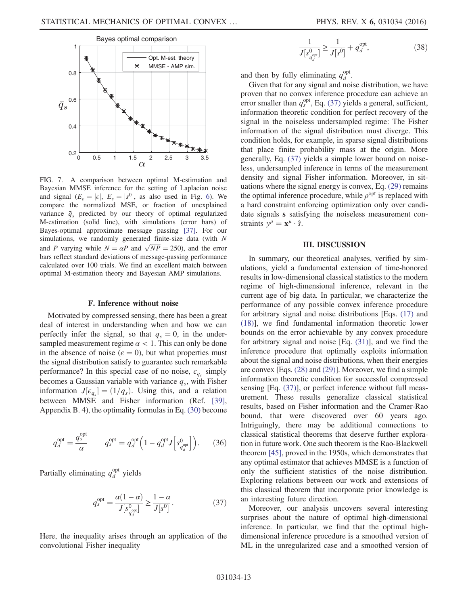<span id="page-12-0"></span>

FIG. 7. A comparison between optimal M-estimation and Bayesian MMSE inference for the setting of Laplacian noise and signal  $(E_{\epsilon} = |\epsilon|, E_s = |s^0|,$  as also used in Fig. [6](#page-10-0)). We compare the normalized MSE, or fraction of unexplained variance  $\bar{q}_s$  predicted by our theory of optimal regularized M-estimation (solid line), with simulations (error bars) of Bayes-optimal approximate message passing [\[37\]](#page-14-23). For our simulations, we randomly generated finite-size data (with N and P varying while  $N = \alpha P$  and  $\sqrt{NP} = 250$ ), and the error<br>hars reflect standard deviations of message-passing performance bars reflect standard deviations of message-passing performance calculated over 100 trials. We find an excellent match between optimal M-estimation theory and Bayesian AMP simulations.

## F. Inference without noise

Motivated by compressed sensing, there has been a great deal of interest in understanding when and how we can perfectly infer the signal, so that  $q_s = 0$ , in the undersampled measurement regime  $\alpha$  < 1. This can only be done in the absence of noise ( $\epsilon = 0$ ), but what properties must the signal distribution satisfy to guarantee such remarkable performance? In this special case of no noise,  $\epsilon_{q_s}$  simply becomes a Gaussian variable with variance  $q_s$ , with Fisher information  $J[\epsilon_{q_s}] = (1/q_s)$ . Using this, and a relation<br>between MMSE and Eisher information (Bef. [30] between MMSE and Fisher information (Ref. [\[39\]](#page-15-0), Appendix B. 4), the optimality formulas in Eq. [\(30\)](#page-9-2) become

<span id="page-12-1"></span>
$$
q_d^{\text{opt}} = \frac{q_s^{\text{opt}}}{\alpha} \qquad q_s^{\text{opt}} = q_d^{\text{opt}} \left( 1 - q_d^{\text{opt}} J \left[ s_{q_d^{\text{opt}}}^0 \right] \right). \tag{36}
$$

Partially eliminating  $q_d^{\text{opt}}$  yields

$$
q_s^{\text{opt}} = \frac{\alpha(1-\alpha)}{J[s_{q_d^{\text{opt}}}^0]} \ge \frac{1-\alpha}{J[s^0]}.
$$
 (37)

Here, the inequality arises through an application of the convolutional Fisher inequality

$$
\frac{1}{J[s_{q_d^{\text{opt}}}^0]} \ge \frac{1}{J[s^0]} + q_d^{\text{opt}},\tag{38}
$$

and then by fully eliminating  $q_d^{\text{opt}}$ .

Given that for any signal and noise distribution, we have proven that no convex inference procedure can achieve an error smaller than  $q_s^{\text{opt}}$ , Eq. [\(37\)](#page-12-1) yields a general, sufficient, information theoretic condition for perfect recovery of the signal in the noiseless undersampled regime: The Fisher information of the signal distribution must diverge. This condition holds, for example, in sparse signal distributions that place finite probability mass at the origin. More generally, Eq. [\(37\)](#page-12-1) yields a simple lower bound on noiseless, undersampled inference in terms of the measurement density and signal Fisher information. Moreover, in situations where the signal energy is convex, Eq. [\(29\)](#page-9-1) remains the optimal inference procedure, while  $\rho^{opt}$  is replaced with a hard constraint enforcing optimization only over candidate signals s satisfying the noiseless measurement constraints  $y^{\mu} = \mathbf{x}^{\mu} \cdot \hat{s}$ .

### III. DISCUSSION

In summary, our theoretical analyses, verified by simulations, yield a fundamental extension of time-honored results in low-dimensional classical statistics to the modern regime of high-dimensional inference, relevant in the current age of big data. In particular, we characterize the performance of any possible convex inference procedure for arbitrary signal and noise distributions [Eqs. [\(17\)](#page-5-5) and [\(18\)](#page-5-6)], we find fundamental information theoretic lower bounds on the error achievable by any convex procedure for arbitrary signal and noise [Eq. [\(31\)](#page-9-3)], and we find the inference procedure that optimally exploits information about the signal and noise distributions, when their energies are convex [Eqs. [\(28\)](#page-9-0) and [\(29\)](#page-9-1)]. Moreover, we find a simple information theoretic condition for successful compressed sensing [Eq. [\(37\)\]](#page-12-1), or perfect inference without full measurement. These results generalize classical statistical results, based on Fisher information and the Cramer-Rao bound, that were discovered over 60 years ago. Intriguingly, there may be additional connections to classical statistical theorems that deserve further exploration in future work. One such theorem is the Rao-Blackwell theorem [\[45\],](#page-15-6) proved in the 1950s, which demonstrates that any optimal estimator that achieves MMSE is a function of only the sufficient statistics of the noise distribution. Exploring relations between our work and extensions of this classical theorem that incorporate prior knowledge is an interesting future direction.

Moreover, our analysis uncovers several interesting surprises about the nature of optimal high-dimensional inference. In particular, we find that the optimal highdimensional inference procedure is a smoothed version of ML in the unregularized case and a smoothed version of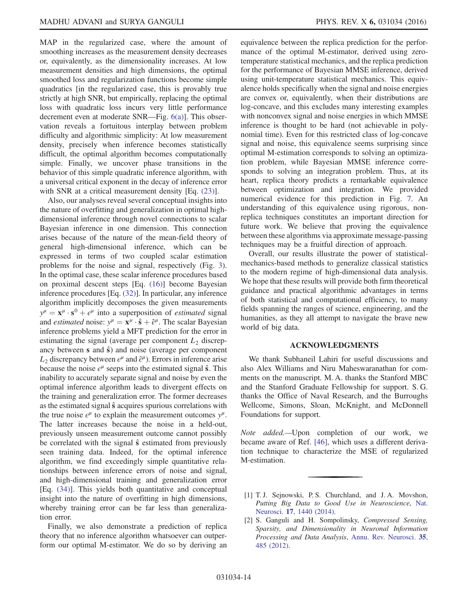MAP in the regularized case, where the amount of smoothing increases as the measurement density decreases or, equivalently, as the dimensionality increases. At low measurement densities and high dimensions, the optimal smoothed loss and regularization functions become simple quadratics [in the regularized case, this is provably true strictly at high SNR, but empirically, replacing the optimal loss with quadratic loss incurs very little performance decrement even at moderate SNR—Fig. [6\(a\)](#page-10-0)]. This observation reveals a fortuitous interplay between problem difficulty and algorithmic simplicity: At low measurement density, precisely when inference becomes statistically difficult, the optimal algorithm becomes computationally simple. Finally, we uncover phase transitions in the behavior of this simple quadratic inference algorithm, with a universal critical exponent in the decay of inference error with SNR at a critical measurement density [Eq.  $(23)$ ].

Also, our analyses reveal several conceptual insights into the nature of overfitting and generalization in optimal highdimensional inference through novel connections to scalar Bayesian inference in one dimension. This connection arises because of the nature of the mean-field theory of general high-dimensional inference, which can be expressed in terms of two coupled scalar estimation problems for the noise and signal, respectively (Fig. [3](#page-5-1)). In the optimal case, these scalar inference procedures based on proximal descent steps [Eq. [\(16\)\]](#page-5-4) become Bayesian inference procedures [Eq. [\(32\)\]](#page-10-1). In particular, any inference algorithm implicitly decomposes the given measurements  $y^{\mu} = \mathbf{x}^{\mu} \cdot \mathbf{s}^{0} + \epsilon^{\mu}$  into a superposition of *estimated* signal<br>and *estimated* noise:  $y^{\mu} = \mathbf{x}^{\mu} \cdot \hat{\mathbf{s}} + \hat{\epsilon}^{\mu}$ . The scalar Bayesian and *estimated* noise:  $y^{\mu} = \mathbf{x}^{\mu} \cdot \hat{\mathbf{s}} + \hat{\epsilon}^{\mu}$ . The scalar Bayesian inference problems yield a MFT prediction for the error in estimating the signal (average per component  $L_2$  discrepancy between  $s$  and  $\hat{s}$ ) and noise (average per component  $L_2$  discrepancy between  $\epsilon^\mu$  and  $\hat{\epsilon}^\mu$ ). Errors in inference arise because the noise  $\epsilon^{\mu}$  seeps into the estimated signal  $\hat{\mathbf{s}}$ . This inability to accurately separate signal and noise by even the optimal inference algorithm leads to divergent effects on the training and generalization error. The former decreases as the estimated signal  $\hat{s}$  acquires spurious correlations with the true noise  $\epsilon^{\mu}$  to explain the measurement outcomes  $y^{\mu}$ . The latter increases because the noise in a held-out, previously unseen measurement outcome cannot possibly be correlated with the signal  $\hat{s}$  estimated from previously seen training data. Indeed, for the optimal inference algorithm, we find exceedingly simple quantitative relationships between inference errors of noise and signal, and high-dimensional training and generalization error [Eq. [\(34\)\]](#page-10-2). This yields both quantitative and conceptual insight into the nature of overfitting in high dimensions, whereby training error can be far less than generalization error.

Finally, we also demonstrate a prediction of replica theory that no inference algorithm whatsoever can outperform our optimal M-estimator. We do so by deriving an

equivalence between the replica prediction for the performance of the optimal M-estimator, derived using zerotemperature statistical mechanics, and the replica prediction for the performance of Bayesian MMSE inference, derived using unit-temperature statistical mechanics. This equivalence holds specifically when the signal and noise energies are convex or, equivalently, when their distributions are log-concave, and this excludes many interesting examples with nonconvex signal and noise energies in which MMSE inference is thought to be hard (not achievable in polynomial time). Even for this restricted class of log-concave signal and noise, this equivalence seems surprising since optimal M-estimation corresponds to solving an optimization problem, while Bayesian MMSE inference corresponds to solving an integration problem. Thus, at its heart, replica theory predicts a remarkable equivalence between optimization and integration. We provided numerical evidence for this prediction in Fig. [7](#page-12-0). An understanding of this equivalence using rigorous, nonreplica techniques constitutes an important direction for future work. We believe that proving the equivalence between these algorithms via approximate message-passing techniques may be a fruitful direction of approach.

Overall, our results illustrate the power of statisticalmechanics-based methods to generalize classical statistics to the modern regime of high-dimensional data analysis. We hope that these results will provide both firm theoretical guidance and practical algorithmic advantages in terms of both statistical and computational efficiency, to many fields spanning the ranges of science, engineering, and the humanities, as they all attempt to navigate the brave new world of big data.

### ACKNOWLEDGMENTS

We thank Subhaneil Lahiri for useful discussions and also Alex Williams and Niru Maheswaranathan for comments on the manuscript. M. A. thanks the Stanford MBC and the Stanford Graduate Fellowship for support. S. G. thanks the Office of Naval Research, and the Burroughs Wellcome, Simons, Sloan, McKnight, and McDonnell Foundations for support.

Note added.—Upon completion of our work, we became aware of Ref. [\[46\]](#page-15-7), which uses a different derivation technique to characterize the MSE of regularized M-estimation.

<span id="page-13-0"></span><sup>[1]</sup> T.J. Sejnowski, P.S. Churchland, and J.A. Movshon, Putting Big Data to Good Use in Neuroscience, [Nat.](http://dx.doi.org/10.1038/nn.3839) Neurosci. 17[, 1440 \(2014\)](http://dx.doi.org/10.1038/nn.3839).

<sup>[2]</sup> S. Ganguli and H. Sompolinsky, Compressed Sensing, Sparsity, and Dimensionality in Neuronal Information Processing and Data Analysis, [Annu. Rev. Neurosci.](http://dx.doi.org/10.1146/annurev-neuro-062111-150410) 35, [485 \(2012\)](http://dx.doi.org/10.1146/annurev-neuro-062111-150410).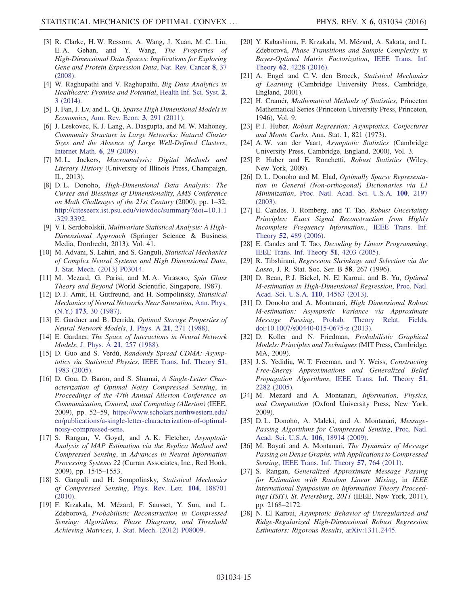- <span id="page-14-0"></span>[3] R. Clarke, H. W. Ressom, A. Wang, J. Xuan, M. C. Liu, E. A. Gehan, and Y. Wang, The Properties of High-Dimensional Data Spaces: Implications for Exploring Gene and Protein Expression Data, [Nat. Rev. Cancer](http://dx.doi.org/10.1038/nrc2294) 8, 37 [\(2008\).](http://dx.doi.org/10.1038/nrc2294)
- <span id="page-14-1"></span>[4] W. Raghupathi and V. Raghupathi, Big Data Analytics in Healthcare: Promise and Potential, [Health Inf. Sci. Syst.](http://dx.doi.org/10.1186/2047-2501-2-3) 2, [3 \(2014\).](http://dx.doi.org/10.1186/2047-2501-2-3)
- <span id="page-14-2"></span>[5] J. Fan, J. Lv, and L. Qi, Sparse High Dimensional Models in Economics, [Ann. Rev. Econ.](http://dx.doi.org/10.1146/annurev-economics-061109-080451) 3, 291 (2011).
- <span id="page-14-3"></span>[6] J. Leskovec, K. J. Lang, A. Dasgupta, and M. W. Mahoney, Community Structure in Large Networks: Natural Cluster Sizes and the Absence of Large Well-Defined Clusters, [Internet Math.](http://dx.doi.org/10.1080/15427951.2009.10129177) 6, 29 (2009).
- <span id="page-14-4"></span>[7] M.L. Jockers, Macroanalysis: Digital Methods and Literary History (University of Illinois Press, Champaign, IL, 2013).
- <span id="page-14-5"></span>[8] D. L. Donoho, High-Dimensional Data Analysis: The Curses and Blessings of Dimensionality, AMS Conference on Math Challenges of the 21st Century (2000), pp. 1–32, [http://citeseerx.ist.psu.edu/viewdoc/summary?doi=10.1.1](http://citeseerx.ist.psu.edu/viewdoc/summary?doi=10.1.1.329.3392) [.329.3392](http://citeseerx.ist.psu.edu/viewdoc/summary?doi=10.1.1.329.3392).
- [9] V. I. Serdobolskii, Multivariate Statistical Analysis: A High-Dimensional Approach (Springer Science & Business Media, Dordrecht, 2013), Vol. 41.
- <span id="page-14-6"></span>[10] M. Advani, S. Lahiri, and S. Ganguli, Statistical Mechanics of Complex Neural Systems and High Dimensional Data, [J. Stat. Mech. \(2013\) P03014.](http://dx.doi.org/10.1088/1742-5468/2013/03/P03014)
- <span id="page-14-7"></span>[11] M. Mezard, G. Parisi, and M.A. Virasoro, Spin Glass Theory and Beyond (World Scientific, Singapore, 1987).
- <span id="page-14-8"></span>[12] D. J. Amit, H. Gutfreund, and H. Sompolinsky, Statistical Mechanics of Neural Networks Near Saturation, [Ann. Phys.](http://dx.doi.org/10.1016/0003-4916(87)90092-3) (N.Y.) 173[, 30 \(1987\)](http://dx.doi.org/10.1016/0003-4916(87)90092-3).
- <span id="page-14-9"></span>[13] E. Gardner and B. Derrida, Optimal Storage Properties of Neural Network Models, J. Phys. A 21[, 271 \(1988\).](http://dx.doi.org/10.1088/0305-4470/21/1/031)
- [14] E. Gardner, The Space of Interactions in Neural Network Models, J. Phys. A 21[, 257 \(1988\).](http://dx.doi.org/10.1088/0305-4470/21/1/030)
- <span id="page-14-10"></span>[15] D. Guo and S. Verdú, Randomly Spread CDMA: Asymptotics via Statistical Physics, [IEEE Trans. Inf. Theory](http://dx.doi.org/10.1109/TIT.2005.847700) 51, [1983 \(2005\)](http://dx.doi.org/10.1109/TIT.2005.847700).
- <span id="page-14-11"></span>[16] D. Gou, D. Baron, and S. Shamai, A Single-Letter Characterization of Optimal Noisy Compressed Sensing, in Proceedings of the 47th Annual Allerton Conference on Communication, Control, and Computing (Allerton) (IEEE, 2009), pp. 52–59, [https://www.scholars.northwestern.edu/](https://www.scholars.northwestern.edu/en/publications/a-single-letter-characterization-of-optimal-noisy-compressed-sens) [en/publications/a](https://www.scholars.northwestern.edu/en/publications/a-single-letter-characterization-of-optimal-noisy-compressed-sens)-single-letter-characterization-of-optimalnoisy‑[compressed](https://www.scholars.northwestern.edu/en/publications/a-single-letter-characterization-of-optimal-noisy-compressed-sens)‑sens.
- [17] S. Rangan, V. Goyal, and A.K. Fletcher, Asymptotic Analysis of MAP Estimation via the Replica Method and Compressed Sensing, in Advances in Neural Information Processing Systems 22 (Curran Associates, Inc., Red Hook, 2009), pp. 1545–1553.
- [18] S. Ganguli and H. Sompolinsky, Statistical Mechanics of Compressed Sensing, [Phys. Rev. Lett.](http://dx.doi.org/10.1103/PhysRevLett.104.188701) 104, 188701 [\(2010\).](http://dx.doi.org/10.1103/PhysRevLett.104.188701)
- <span id="page-14-24"></span>[19] F. Krzakala, M. Mézard, F. Sausset, Y. Sun, and L. Zdeborová, Probabilistic Reconstruction in Compressed Sensing: Algorithms, Phase Diagrams, and Threshold Achieving Matrices, [J. Stat. Mech. \(2012\) P08009.](http://dx.doi.org/10.1088/1742-5468/2012/08/P08009)
- <span id="page-14-12"></span>[20] Y. Kabashima, F. Krzakala, M. Mézard, A. Sakata, and L. Zdeborová, Phase Transitions and Sample Complexity in Bayes-Optimal Matrix Factorization, [IEEE Trans. Inf.](http://dx.doi.org/10.1109/TIT.2016.2556702) Theory 62[, 4228 \(2016\)](http://dx.doi.org/10.1109/TIT.2016.2556702).
- [21] A. Engel and C. V. den Broeck, Statistical Mechanics of Learning (Cambridge University Press, Cambridge, England, 2001).
- <span id="page-14-13"></span>[22] H. Cramér, Mathematical Methods of Statistics, Princeton Mathematical Series (Princeton University Press, Princeton, 1946), Vol. 9.
- [23] P. J. Huber, Robust Regression: Asymptotics, Conjectures and Monte Carlo, Ann. Stat. 1, 821 (1973).
- <span id="page-14-14"></span>[24] A. W. van der Vaart, Asymptotic Statistics (Cambridge University Press, Cambridge, England, 2000), Vol. 3.
- [25] P. Huber and E. Ronchetti, Robust Statistics (Wiley, New York, 2009).
- <span id="page-14-15"></span>[26] D. L. Donoho and M. Elad, Optimally Sparse Representation in General (Non-orthogonal) Dictionaries via L1 Minimization, [Proc. Natl. Acad. Sci. U.S.A.](http://dx.doi.org/10.1073/pnas.0437847100) 100, 2197 [\(2003\).](http://dx.doi.org/10.1073/pnas.0437847100)
- [27] E. Candes, J. Romberg, and T. Tao, Robust Uncertainty Principles: Exact Signal Reconstruction from Highly Incomplete Frequency Information., [IEEE Trans. Inf.](http://dx.doi.org/10.1109/TIT.2005.862083) Theory 52[, 489 \(2006\)](http://dx.doi.org/10.1109/TIT.2005.862083).
- [28] E. Candes and T. Tao, *Decoding by Linear Programming*, [IEEE Trans. Inf. Theory](http://dx.doi.org/10.1109/TIT.2005.858979) 51, 4203 (2005).
- <span id="page-14-16"></span>[29] R. Tibshirani, Regression Shrinkage and Selection via the Lasso, J. R. Stat. Soc. Ser. B 58, 267 (1996).
- <span id="page-14-17"></span>[30] D. Bean, P.J. Bickel, N. El Karoui, and B. Yu, Optimal M-estimation in High-Dimensional Regression, [Proc. Natl.](http://dx.doi.org/10.1073/pnas.1307845110) [Acad. Sci. U.S.A.](http://dx.doi.org/10.1073/pnas.1307845110) 110, 14563 (2013).
- <span id="page-14-18"></span>[31] D. Donoho and A. Montanari, *High Dimensional Robust* M-estimation: Asymptotic Variance via Approximate Message Passing, [Probab. Theory Relat. Fields,](http://dx.doi.org/10.1007/s00440-015-0675-z) [doi:10.1007/s00440-015-0675-z \(2013\).](http://dx.doi.org/10.1007/s00440-015-0675-z)
- <span id="page-14-19"></span>[32] D. Koller and N. Friedman, Probabilistic Graphical Models: Principles and Techniques (MIT Press, Cambridge, MA, 2009).
- <span id="page-14-20"></span>[33] J. S. Yedidia, W. T. Freeman, and Y. Weiss, Constructing Free-Energy Approximations and Generalized Belief Propagation Algorithms, [IEEE Trans. Inf. Theory](http://dx.doi.org/10.1109/TIT.2005.850085) 51, [2282 \(2005\)](http://dx.doi.org/10.1109/TIT.2005.850085).
- [34] M. Mezard and A. Montanari, *Information*, *Physics*, and Computation (Oxford University Press, New York, 2009).
- <span id="page-14-21"></span>[35] D. L. Donoho, A. Maleki, and A. Montanari, Message-Passing Algorithms for Compressed Sensing, [Proc. Natl.](http://dx.doi.org/10.1073/pnas.0909892106) [Acad. Sci. U.S.A.](http://dx.doi.org/10.1073/pnas.0909892106) 106, 18914 (2009).
- <span id="page-14-22"></span>[36] M. Bayati and A. Montanari, The Dynamics of Message Passing on Dense Graphs, with Applications to Compressed Sensing, [IEEE Trans. Inf. Theory](http://dx.doi.org/10.1109/TIT.2010.2094817) **57**, 764 (2011).
- <span id="page-14-23"></span>[37] S. Rangan, Generalized Approximate Message Passing for Estimation with Random Linear Mixing, in IEEE International Symposium on Information Theory Proceedings (ISIT), St. Petersburg, 2011 (IEEE, New York, 2011), pp. 2168–2172.
- [38] N. El Karoui, Asymptotic Behavior of Unregularized and Ridge-Regularized High-Dimensional Robust Regression Estimators: Rigorous Results, [arXiv:1311.2445.](http://arXiv.org/abs/1311.2445)